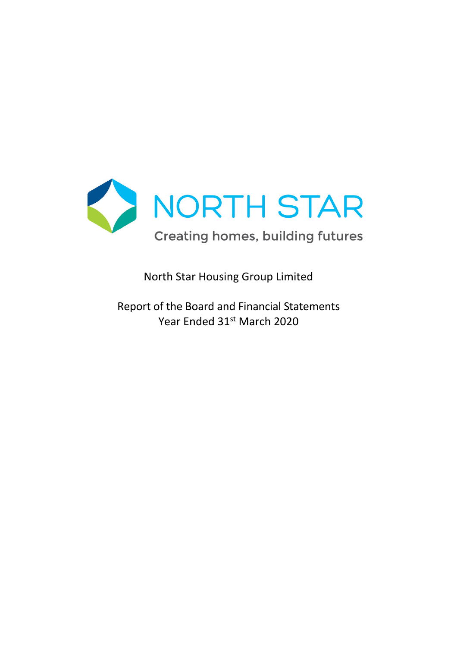

North Star Housing Group Limited

Report of the Board and Financial Statements Year Ended 31<sup>st</sup> March 2020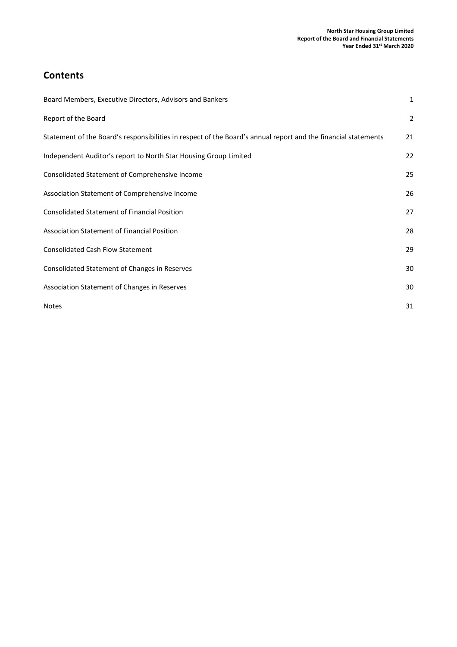# **Contents**

| Board Members, Executive Directors, Advisors and Bankers                                                       | $\mathbf{1}$   |
|----------------------------------------------------------------------------------------------------------------|----------------|
| Report of the Board                                                                                            | $\overline{2}$ |
| Statement of the Board's responsibilities in respect of the Board's annual report and the financial statements | 21             |
| Independent Auditor's report to North Star Housing Group Limited                                               | 22             |
| Consolidated Statement of Comprehensive Income                                                                 | 25             |
| Association Statement of Comprehensive Income                                                                  | 26             |
| <b>Consolidated Statement of Financial Position</b>                                                            | 27             |
| <b>Association Statement of Financial Position</b>                                                             | 28             |
| <b>Consolidated Cash Flow Statement</b>                                                                        | 29             |
| Consolidated Statement of Changes in Reserves                                                                  | 30             |
| Association Statement of Changes in Reserves                                                                   | 30             |
| <b>Notes</b>                                                                                                   | 31             |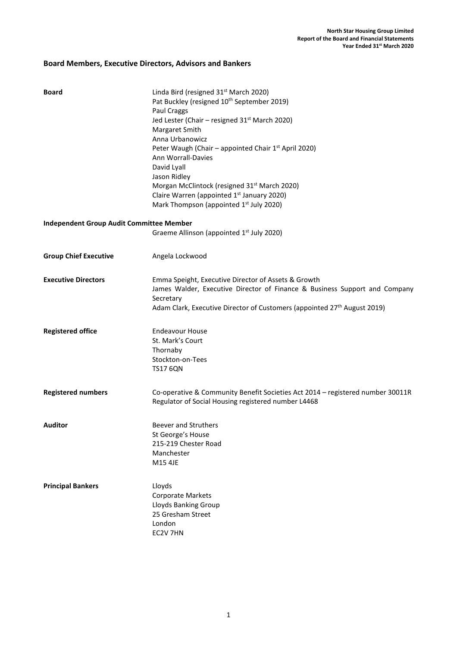# Board Members, Executive Directors, Advisors and Bankers

| Board                                           | Linda Bird (resigned 31 <sup>st</sup> March 2020)<br>Pat Buckley (resigned 10 <sup>th</sup> September 2019)<br>Paul Craggs<br>Jed Lester (Chair - resigned 31 <sup>st</sup> March 2020)<br>Margaret Smith<br>Anna Urbanowicz<br>Peter Waugh (Chair - appointed Chair 1 <sup>st</sup> April 2020)<br>Ann Worrall-Davies<br>David Lyall<br>Jason Ridley<br>Morgan McClintock (resigned 31 <sup>st</sup> March 2020)<br>Claire Warren (appointed 1 <sup>st</sup> January 2020)<br>Mark Thompson (appointed 1 <sup>st</sup> July 2020) |
|-------------------------------------------------|------------------------------------------------------------------------------------------------------------------------------------------------------------------------------------------------------------------------------------------------------------------------------------------------------------------------------------------------------------------------------------------------------------------------------------------------------------------------------------------------------------------------------------|
| <b>Independent Group Audit Committee Member</b> |                                                                                                                                                                                                                                                                                                                                                                                                                                                                                                                                    |
|                                                 | Graeme Allinson (appointed 1 <sup>st</sup> July 2020)                                                                                                                                                                                                                                                                                                                                                                                                                                                                              |
| <b>Group Chief Executive</b>                    | Angela Lockwood                                                                                                                                                                                                                                                                                                                                                                                                                                                                                                                    |
| <b>Executive Directors</b>                      | Emma Speight, Executive Director of Assets & Growth<br>James Walder, Executive Director of Finance & Business Support and Company<br>Secretary<br>Adam Clark, Executive Director of Customers (appointed 27 <sup>th</sup> August 2019)                                                                                                                                                                                                                                                                                             |
| <b>Registered office</b>                        | <b>Endeavour House</b><br>St. Mark's Court<br>Thornaby<br>Stockton-on-Tees<br><b>TS17 6QN</b>                                                                                                                                                                                                                                                                                                                                                                                                                                      |
| <b>Registered numbers</b>                       | Co-operative & Community Benefit Societies Act 2014 - registered number 30011R<br>Regulator of Social Housing registered number L4468                                                                                                                                                                                                                                                                                                                                                                                              |
| <b>Auditor</b>                                  | <b>Beever and Struthers</b><br>St George's House<br>215-219 Chester Road<br>Manchester<br>M15 4JE                                                                                                                                                                                                                                                                                                                                                                                                                                  |
| <b>Principal Bankers</b>                        | Lloyds<br>Corporate Markets<br>Lloyds Banking Group<br>25 Gresham Street<br>London<br>EC2V 7HN                                                                                                                                                                                                                                                                                                                                                                                                                                     |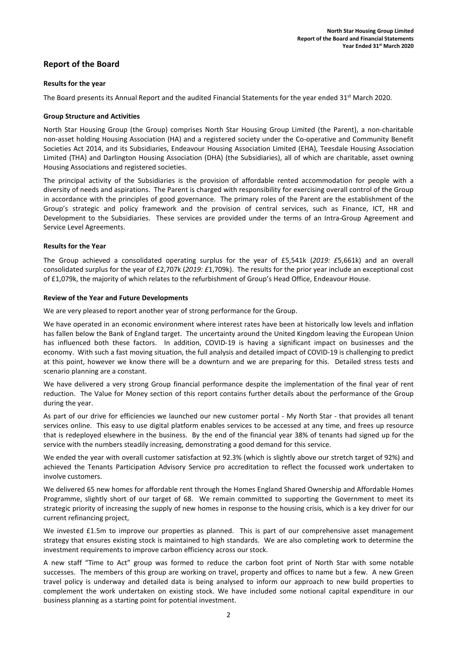# Report of the Board

### Results for the year

The Board presents its Annual Report and the audited Financial Statements for the year ended 31<sup>st</sup> March 2020.

#### Group Structure and Activities

North Star Housing Group (the Group) comprises North Star Housing Group Limited (the Parent), a non-charitable non-asset holding Housing Association (HA) and a registered society under the Co-operative and Community Benefit Societies Act 2014, and its Subsidiaries, Endeavour Housing Association Limited (EHA), Teesdale Housing Association Limited (THA) and Darlington Housing Association (DHA) (the Subsidiaries), all of which are charitable, asset owning Housing Associations and registered societies.

The principal activity of the Subsidiaries is the provision of affordable rented accommodation for people with a diversity of needs and aspirations. The Parent is charged with responsibility for exercising overall control of the Group in accordance with the principles of good governance. The primary roles of the Parent are the establishment of the Group's strategic and policy framework and the provision of central services, such as Finance, ICT, HR and Development to the Subsidiaries. These services are provided under the terms of an Intra-Group Agreement and Service Level Agreements.

### Results for the Year

The Group achieved a consolidated operating surplus for the year of £5,541k (2019: £5,661k) and an overall consolidated surplus for the year of £2,707k (2019:  $E1$ ,709k). The results for the prior year include an exceptional cost of £1,079k, the majority of which relates to the refurbishment of Group's Head Office, Endeavour House.

#### Review of the Year and Future Developments

We are very pleased to report another year of strong performance for the Group.

We have operated in an economic environment where interest rates have been at historically low levels and inflation has fallen below the Bank of England target. The uncertainty around the United Kingdom leaving the European Union has influenced both these factors. In addition, COVID-19 is having a significant impact on businesses and the economy. With such a fast moving situation, the full analysis and detailed impact of COVID-19 is challenging to predict at this point, however we know there will be a downturn and we are preparing for this. Detailed stress tests and scenario planning are a constant.

We have delivered a very strong Group financial performance despite the implementation of the final year of rent reduction. The Value for Money section of this report contains further details about the performance of the Group during the year.

As part of our drive for efficiencies we launched our new customer portal - My North Star - that provides all tenant services online. This easy to use digital platform enables services to be accessed at any time, and frees up resource that is redeployed elsewhere in the business. By the end of the financial year 38% of tenants had signed up for the service with the numbers steadily increasing, demonstrating a good demand for this service.

We ended the year with overall customer satisfaction at 92.3% (which is slightly above our stretch target of 92%) and achieved the Tenants Participation Advisory Service pro accreditation to reflect the focussed work undertaken to involve customers.

We delivered 65 new homes for affordable rent through the Homes England Shared Ownership and Affordable Homes Programme, slightly short of our target of 68. We remain committed to supporting the Government to meet its strategic priority of increasing the supply of new homes in response to the housing crisis, which is a key driver for our current refinancing project,

We invested £1.5m to improve our properties as planned. This is part of our comprehensive asset management strategy that ensures existing stock is maintained to high standards. We are also completing work to determine the investment requirements to improve carbon efficiency across our stock.

A new staff "Time to Act" group was formed to reduce the carbon foot print of North Star with some notable successes. The members of this group are working on travel, property and offices to name but a few. A new Green travel policy is underway and detailed data is being analysed to inform our approach to new build properties to complement the work undertaken on existing stock. We have included some notional capital expenditure in our business planning as a starting point for potential investment.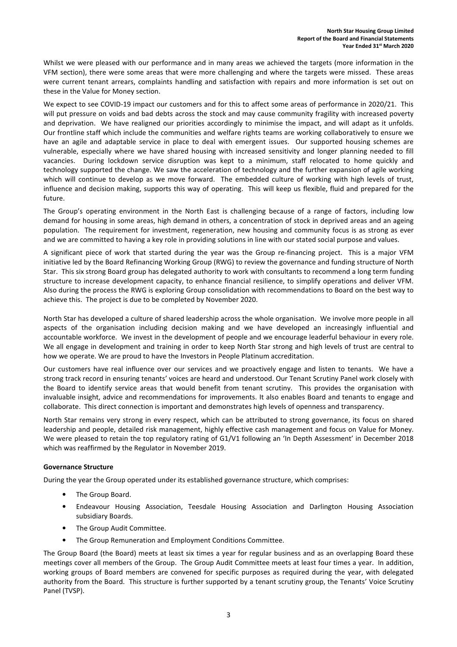Whilst we were pleased with our performance and in many areas we achieved the targets (more information in the VFM section), there were some areas that were more challenging and where the targets were missed. These areas were current tenant arrears, complaints handling and satisfaction with repairs and more information is set out on these in the Value for Money section.

We expect to see COVID-19 impact our customers and for this to affect some areas of performance in 2020/21. This will put pressure on voids and bad debts across the stock and may cause community fragility with increased poverty and deprivation. We have realigned our priorities accordingly to minimise the impact, and will adapt as it unfolds. Our frontline staff which include the communities and welfare rights teams are working collaboratively to ensure we have an agile and adaptable service in place to deal with emergent issues. Our supported housing schemes are vulnerable, especially where we have shared housing with increased sensitivity and longer planning needed to fill vacancies. During lockdown service disruption was kept to a minimum, staff relocated to home quickly and technology supported the change. We saw the acceleration of technology and the further expansion of agile working which will continue to develop as we move forward. The embedded culture of working with high levels of trust, influence and decision making, supports this way of operating. This will keep us flexible, fluid and prepared for the future.

The Group's operating environment in the North East is challenging because of a range of factors, including low demand for housing in some areas, high demand in others, a concentration of stock in deprived areas and an ageing population. The requirement for investment, regeneration, new housing and community focus is as strong as ever and we are committed to having a key role in providing solutions in line with our stated social purpose and values.

A significant piece of work that started during the year was the Group re-financing project. This is a major VFM initiative led by the Board Refinancing Working Group (RWG) to review the governance and funding structure of North Star. This six strong Board group has delegated authority to work with consultants to recommend a long term funding structure to increase development capacity, to enhance financial resilience, to simplify operations and deliver VFM. Also during the process the RWG is exploring Group consolidation with recommendations to Board on the best way to achieve this. The project is due to be completed by November 2020.

North Star has developed a culture of shared leadership across the whole organisation. We involve more people in all aspects of the organisation including decision making and we have developed an increasingly influential and accountable workforce. We invest in the development of people and we encourage leaderful behaviour in every role. We all engage in development and training in order to keep North Star strong and high levels of trust are central to how we operate. We are proud to have the Investors in People Platinum accreditation.

Our customers have real influence over our services and we proactively engage and listen to tenants. We have a strong track record in ensuring tenants' voices are heard and understood. Our Tenant Scrutiny Panel work closely with the Board to identify service areas that would benefit from tenant scrutiny. This provides the organisation with invaluable insight, advice and recommendations for improvements. It also enables Board and tenants to engage and collaborate. This direct connection is important and demonstrates high levels of openness and transparency.

North Star remains very strong in every respect, which can be attributed to strong governance, its focus on shared leadership and people, detailed risk management, highly effective cash management and focus on Value for Money. We were pleased to retain the top regulatory rating of G1/V1 following an 'In Depth Assessment' in December 2018 which was reaffirmed by the Regulator in November 2019.

# Governance Structure

During the year the Group operated under its established governance structure, which comprises:

- The Group Board.
- Endeavour Housing Association, Teesdale Housing Association and Darlington Housing Association subsidiary Boards.
- The Group Audit Committee.
- The Group Remuneration and Employment Conditions Committee.

The Group Board (the Board) meets at least six times a year for regular business and as an overlapping Board these meetings cover all members of the Group. The Group Audit Committee meets at least four times a year. In addition, working groups of Board members are convened for specific purposes as required during the year, with delegated authority from the Board. This structure is further supported by a tenant scrutiny group, the Tenants' Voice Scrutiny Panel (TVSP).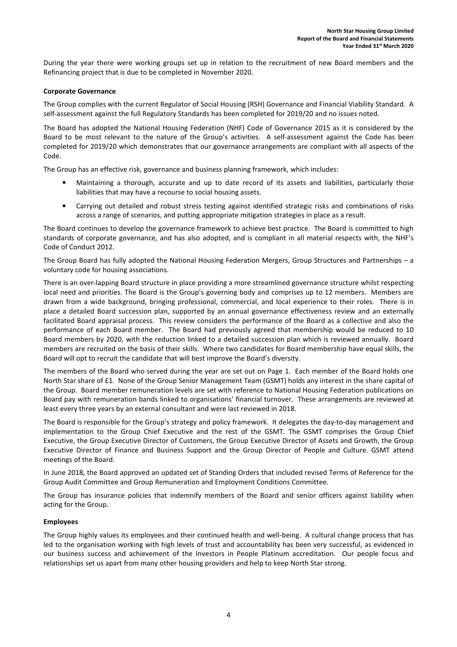During the year there were working groups set up in relation to the recruitment of new Board members and the Refinancing project that is due to be completed in November 2020.

### Corporate Governance

The Group complies with the current Regulator of Social Housing (RSH) Governance and Financial Viability Standard. A self-assessment against the full Regulatory Standards has been completed for 2019/20 and no issues noted.

The Board has adopted the National Housing Federation (NHF) Code of Governance 2015 as it is considered by the Board to be most relevant to the nature of the Group's activities. A self-assessment against the Code has been completed for 2019/20 which demonstrates that our governance arrangements are compliant with all aspects of the Code.

The Group has an effective risk, governance and business planning framework, which includes:

- Maintaining a thorough, accurate and up to date record of its assets and liabilities, particularly those liabilities that may have a recourse to social housing assets.
- Carrying out detailed and robust stress testing against identified strategic risks and combinations of risks across a range of scenarios, and putting appropriate mitigation strategies in place as a result.

The Board continues to develop the governance framework to achieve best practice. The Board is committed to high standards of corporate governance, and has also adopted, and is compliant in all material respects with, the NHF's Code of Conduct 2012.

The Group Board has fully adopted the National Housing Federation Mergers, Group Structures and Partnerships – a voluntary code for housing associations.

There is an over-lapping Board structure in place providing a more streamlined governance structure whilst respecting local need and priorities. The Board is the Group's governing body and comprises up to 12 members. Members are drawn from a wide background, bringing professional, commercial, and local experience to their roles. There is in place a detailed Board succession plan, supported by an annual governance effectiveness review and an externally facilitated Board appraisal process. This review considers the performance of the Board as a collective and also the performance of each Board member. The Board had previously agreed that membership would be reduced to 10 Board members by 2020, with the reduction linked to a detailed succession plan which is reviewed annually. Board members are recruited on the basis of their skills. Where two candidates for Board membership have equal skills, the Board will opt to recruit the candidate that will best improve the Board's diversity.

The members of the Board who served during the year are set out on Page 1. Each member of the Board holds one North Star share of £1. None of the Group Senior Management Team (GSMT) holds any interest in the share capital of the Group. Board member remuneration levels are set with reference to National Housing Federation publications on Board pay with remuneration bands linked to organisations' financial turnover. These arrangements are reviewed at least every three years by an external consultant and were last reviewed in 2018.

The Board is responsible for the Group's strategy and policy framework. It delegates the day-to-day management and implementation to the Group Chief Executive and the rest of the GSMT. The GSMT comprises the Group Chief Executive, the Group Executive Director of Customers, the Group Executive Director of Assets and Growth, the Group Executive Director of Finance and Business Support and the Group Director of People and Culture. GSMT attend meetings of the Board.

In June 2018, the Board approved an updated set of Standing Orders that included revised Terms of Reference for the Group Audit Committee and Group Remuneration and Employment Conditions Committee.

The Group has insurance policies that indemnify members of the Board and senior officers against liability when acting for the Group.

#### Employees

The Group highly values its employees and their continued health and well-being. A cultural change process that has led to the organisation working with high levels of trust and accountability has been very successful, as evidenced in our business success and achievement of the Investors in People Platinum accreditation. Our people focus and relationships set us apart from many other housing providers and help to keep North Star strong.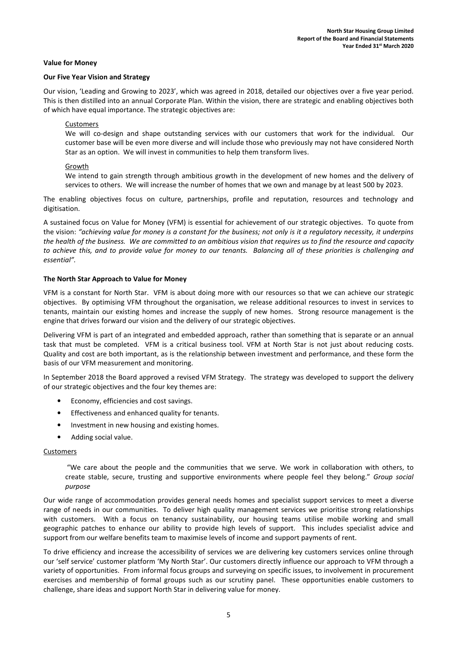#### Value for Money

#### Our Five Year Vision and Strategy

Our vision, 'Leading and Growing to 2023', which was agreed in 2018, detailed our objectives over a five year period. This is then distilled into an annual Corporate Plan. Within the vision, there are strategic and enabling objectives both of which have equal importance. The strategic objectives are:

#### Customers

We will co-design and shape outstanding services with our customers that work for the individual. Our customer base will be even more diverse and will include those who previously may not have considered North Star as an option. We will invest in communities to help them transform lives.

#### Growth

We intend to gain strength through ambitious growth in the development of new homes and the delivery of services to others. We will increase the number of homes that we own and manage by at least 500 by 2023.

The enabling objectives focus on culture, partnerships, profile and reputation, resources and technology and digitisation.

A sustained focus on Value for Money (VFM) is essential for achievement of our strategic objectives. To quote from the vision: "achieving value for money is a constant for the business; not only is it a regulatory necessity, it underpins the health of the business. We are committed to an ambitious vision that requires us to find the resource and capacity to achieve this, and to provide value for money to our tenants. Balancing all of these priorities is challenging and essential".

#### The North Star Approach to Value for Money

VFM is a constant for North Star. VFM is about doing more with our resources so that we can achieve our strategic objectives. By optimising VFM throughout the organisation, we release additional resources to invest in services to tenants, maintain our existing homes and increase the supply of new homes. Strong resource management is the engine that drives forward our vision and the delivery of our strategic objectives.

Delivering VFM is part of an integrated and embedded approach, rather than something that is separate or an annual task that must be completed. VFM is a critical business tool. VFM at North Star is not just about reducing costs. Quality and cost are both important, as is the relationship between investment and performance, and these form the basis of our VFM measurement and monitoring.

In September 2018 the Board approved a revised VFM Strategy. The strategy was developed to support the delivery of our strategic objectives and the four key themes are:

- Economy, efficiencies and cost savings.
- Effectiveness and enhanced quality for tenants.
- Investment in new housing and existing homes.
- Adding social value.

#### **Customers**

 "We care about the people and the communities that we serve. We work in collaboration with others, to create stable, secure, trusting and supportive environments where people feel they belong." Group social purpose

Our wide range of accommodation provides general needs homes and specialist support services to meet a diverse range of needs in our communities. To deliver high quality management services we prioritise strong relationships with customers. With a focus on tenancy sustainability, our housing teams utilise mobile working and small geographic patches to enhance our ability to provide high levels of support. This includes specialist advice and support from our welfare benefits team to maximise levels of income and support payments of rent.

To drive efficiency and increase the accessibility of services we are delivering key customers services online through our 'self service' customer platform 'My North Star'. Our customers directly influence our approach to VFM through a variety of opportunities. From informal focus groups and surveying on specific issues, to involvement in procurement exercises and membership of formal groups such as our scrutiny panel. These opportunities enable customers to challenge, share ideas and support North Star in delivering value for money.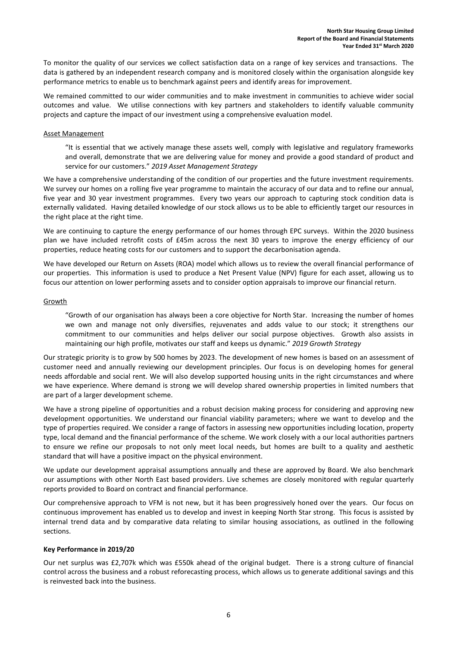To monitor the quality of our services we collect satisfaction data on a range of key services and transactions. The data is gathered by an independent research company and is monitored closely within the organisation alongside key performance metrics to enable us to benchmark against peers and identify areas for improvement.

We remained committed to our wider communities and to make investment in communities to achieve wider social outcomes and value. We utilise connections with key partners and stakeholders to identify valuable community projects and capture the impact of our investment using a comprehensive evaluation model.

#### Asset Management

"It is essential that we actively manage these assets well, comply with legislative and regulatory frameworks and overall, demonstrate that we are delivering value for money and provide a good standard of product and service for our customers." 2019 Asset Management Strategy

We have a comprehensive understanding of the condition of our properties and the future investment requirements. We survey our homes on a rolling five year programme to maintain the accuracy of our data and to refine our annual, five year and 30 year investment programmes. Every two years our approach to capturing stock condition data is externally validated. Having detailed knowledge of our stock allows us to be able to efficiently target our resources in the right place at the right time.

We are continuing to capture the energy performance of our homes through EPC surveys. Within the 2020 business plan we have included retrofit costs of £45m across the next 30 years to improve the energy efficiency of our properties, reduce heating costs for our customers and to support the decarbonisation agenda.

We have developed our Return on Assets (ROA) model which allows us to review the overall financial performance of our properties. This information is used to produce a Net Present Value (NPV) figure for each asset, allowing us to focus our attention on lower performing assets and to consider option appraisals to improve our financial return.

#### Growth

"Growth of our organisation has always been a core objective for North Star. Increasing the number of homes we own and manage not only diversifies, rejuvenates and adds value to our stock; it strengthens our commitment to our communities and helps deliver our social purpose objectives. Growth also assists in maintaining our high profile, motivates our staff and keeps us dynamic." 2019 Growth Strategy

Our strategic priority is to grow by 500 homes by 2023. The development of new homes is based on an assessment of customer need and annually reviewing our development principles. Our focus is on developing homes for general needs affordable and social rent. We will also develop supported housing units in the right circumstances and where we have experience. Where demand is strong we will develop shared ownership properties in limited numbers that are part of a larger development scheme.

We have a strong pipeline of opportunities and a robust decision making process for considering and approving new development opportunities. We understand our financial viability parameters; where we want to develop and the type of properties required. We consider a range of factors in assessing new opportunities including location, property type, local demand and the financial performance of the scheme. We work closely with a our local authorities partners to ensure we refine our proposals to not only meet local needs, but homes are built to a quality and aesthetic standard that will have a positive impact on the physical environment.

We update our development appraisal assumptions annually and these are approved by Board. We also benchmark our assumptions with other North East based providers. Live schemes are closely monitored with regular quarterly reports provided to Board on contract and financial performance.

Our comprehensive approach to VFM is not new, but it has been progressively honed over the years. Our focus on continuous improvement has enabled us to develop and invest in keeping North Star strong. This focus is assisted by internal trend data and by comparative data relating to similar housing associations, as outlined in the following sections.

#### Key Performance in 2019/20

Our net surplus was £2,707k which was £550k ahead of the original budget. There is a strong culture of financial control across the business and a robust reforecasting process, which allows us to generate additional savings and this is reinvested back into the business.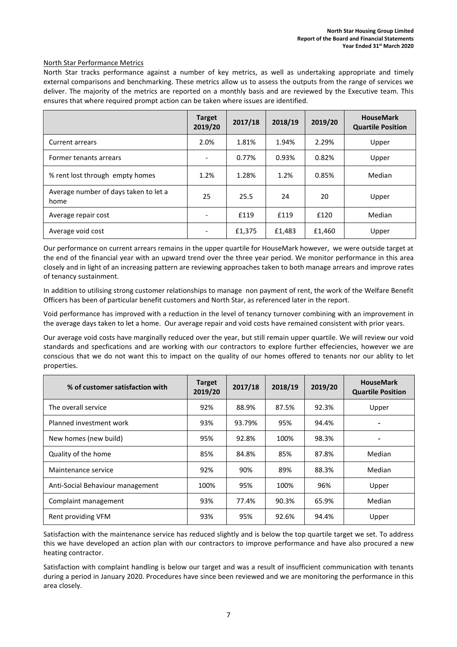#### North Star Performance Metrics

North Star tracks performance against a number of key metrics, as well as undertaking appropriate and timely external comparisons and benchmarking. These metrics allow us to assess the outputs from the range of services we deliver. The majority of the metrics are reported on a monthly basis and are reviewed by the Executive team. This ensures that where required prompt action can be taken where issues are identified.

|                                               | <b>Target</b><br>2019/20 | 2017/18 | 2018/19 | 2019/20 | <b>HouseMark</b><br><b>Quartile Position</b> |
|-----------------------------------------------|--------------------------|---------|---------|---------|----------------------------------------------|
| <b>Current arrears</b>                        | 2.0%                     | 1.81%   | 1.94%   | 2.29%   | Upper                                        |
| Former tenants arrears                        |                          | 0.77%   | 0.93%   | 0.82%   | Upper                                        |
| % rent lost through empty homes               | 1.2%                     | 1.28%   | 1.2%    | 0.85%   | Median                                       |
| Average number of days taken to let a<br>home | 25                       | 25.5    | 24      | 20      | Upper                                        |
| Average repair cost                           |                          | £119    | £119    | £120    | Median                                       |
| Average void cost                             |                          | £1,375  | £1,483  | £1,460  | Upper                                        |

Our performance on current arrears remains in the upper quartile for HouseMark however, we were outside target at the end of the financial year with an upward trend over the three year period. We monitor performance in this area closely and in light of an increasing pattern are reviewing approaches taken to both manage arrears and improve rates of tenancy sustainment.

In addition to utilising strong customer relationships to manage non payment of rent, the work of the Welfare Benefit Officers has been of particular benefit customers and North Star, as referenced later in the report.

Void performance has improved with a reduction in the level of tenancy turnover combining with an improvement in the average days taken to let a home. Our average repair and void costs have remained consistent with prior years.

Our average void costs have marginally reduced over the year, but still remain upper quartile. We will review our void standards and specfications and are working with our contractors to explore further effeciencies, however we are conscious that we do not want this to impact on the quality of our homes offered to tenants nor our ablity to let properties.

| % of customer satisfaction with  | <b>Target</b><br>2019/20 | 2017/18 | 2018/19 | 2019/20 | <b>HouseMark</b><br><b>Quartile Position</b> |
|----------------------------------|--------------------------|---------|---------|---------|----------------------------------------------|
| The overall service              | 92%                      | 88.9%   | 87.5%   | 92.3%   | Upper                                        |
| Planned investment work          | 93%                      | 93.79%  | 95%     | 94.4%   | -                                            |
| New homes (new build)            | 95%                      | 92.8%   | 100%    | 98.3%   | -                                            |
| Quality of the home              | 85%                      | 84.8%   | 85%     | 87.8%   | Median                                       |
| Maintenance service              | 92%                      | 90%     | 89%     | 88.3%   | Median                                       |
| Anti-Social Behaviour management | 100%                     | 95%     | 100%    | 96%     | Upper                                        |
| Complaint management             | 93%                      | 77.4%   | 90.3%   | 65.9%   | Median                                       |
| Rent providing VFM               | 93%                      | 95%     | 92.6%   | 94.4%   | Upper                                        |

Satisfaction with the maintenance service has reduced slightly and is below the top quartile target we set. To address this we have developed an action plan with our contractors to improve performance and have also procured a new heating contractor.

Satisfaction with complaint handling is below our target and was a result of insufficient communication with tenants during a period in January 2020. Procedures have since been reviewed and we are monitoring the performance in this area closely.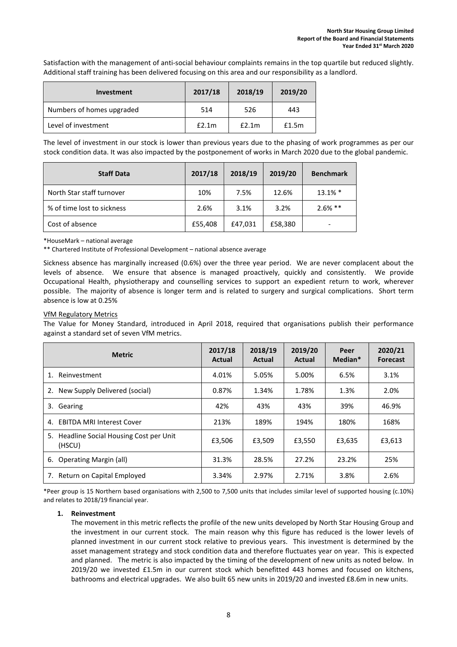Satisfaction with the management of anti-social behaviour complaints remains in the top quartile but reduced slightly. Additional staff training has been delivered focusing on this area and our responsibility as a landlord.

| <b>Investment</b>         | 2017/18 | 2018/19 | 2019/20 |
|---------------------------|---------|---------|---------|
| Numbers of homes upgraded | 514     | 526     | 443     |
| Level of investment       | E2.1m   | f2.1m   | £1.5m   |

The level of investment in our stock is lower than previous years due to the phasing of work programmes as per our stock condition data. It was also impacted by the postponement of works in March 2020 due to the global pandemic.

| <b>Staff Data</b>          | 2017/18 | 2018/19 | 2019/20 | <b>Benchmark</b> |
|----------------------------|---------|---------|---------|------------------|
| North Star staff turnover  | 10%     | 7.5%    | 12.6%   | $13.1\%$ *       |
| % of time lost to sickness | 2.6%    | 3.1%    | 3.2%    | $2.6%$ **        |
| Cost of absence            | £55,408 | £47,031 | £58,380 |                  |

\*HouseMark – national average

\*\* Chartered Institute of Professional Development – national absence average

Sickness absence has marginally increased (0.6%) over the three year period. We are never complacent about the levels of absence. We ensure that absence is managed proactively, quickly and consistently. We provide Occupational Health, physiotherapy and counselling services to support an expedient return to work, wherever possible. The majority of absence is longer term and is related to surgery and surgical complications. Short term absence is low at 0.25%

### VfM Regulatory Metrics

The Value for Money Standard, introduced in April 2018, required that organisations publish their performance against a standard set of seven VfM metrics.

| <b>Metric</b>                                      | 2017/18<br>Actual | 2018/19<br>Actual | 2019/20<br>Actual | Peer<br>Median* | 2020/21<br><b>Forecast</b> |
|----------------------------------------------------|-------------------|-------------------|-------------------|-----------------|----------------------------|
| Reinvestment                                       | 4.01%             | 5.05%             | 5.00%             | 6.5%            | 3.1%                       |
| New Supply Delivered (social)<br>2.                | 0.87%             | 1.34%             | 1.78%             | 1.3%            | 2.0%                       |
| 3.<br>Gearing                                      | 42%               | 43%               | 43%               | 39%             | 46.9%                      |
| <b>EBITDA MRI Interest Cover</b><br>4.             | 213%              | 189%              | 194%              | 180%            | 168%                       |
| 5. Headline Social Housing Cost per Unit<br>(HSCU) | £3,506            | £3,509            | £3,550            | £3,635          | £3,613                     |
| <b>Operating Margin (all)</b><br>6.                | 31.3%             | 28.5%             | 27.2%             | 23.2%           | 25%                        |
| Return on Capital Employed<br>7.                   | 3.34%             | 2.97%             | 2.71%             | 3.8%            | 2.6%                       |

\*Peer group is 15 Northern based organisations with 2,500 to 7,500 units that includes similar level of supported housing (c.10%) and relates to 2018/19 financial year.

#### 1. Reinvestment

The movement in this metric reflects the profile of the new units developed by North Star Housing Group and the investment in our current stock. The main reason why this figure has reduced is the lower levels of planned investment in our current stock relative to previous years. This investment is determined by the asset management strategy and stock condition data and therefore fluctuates year on year. This is expected and planned. The metric is also impacted by the timing of the development of new units as noted below. In 2019/20 we invested £1.5m in our current stock which benefitted 443 homes and focused on kitchens, bathrooms and electrical upgrades. We also built 65 new units in 2019/20 and invested £8.6m in new units.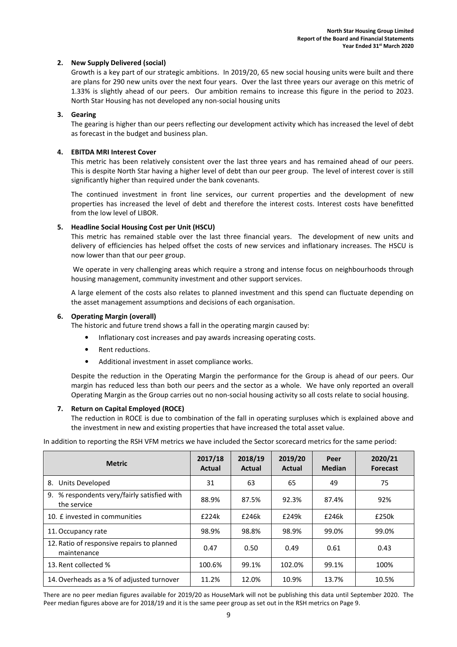#### 2. New Supply Delivered (social)

Growth is a key part of our strategic ambitions. In 2019/20, 65 new social housing units were built and there are plans for 290 new units over the next four years. Over the last three years our average on this metric of 1.33% is slightly ahead of our peers. Our ambition remains to increase this figure in the period to 2023. North Star Housing has not developed any non-social housing units

#### 3. Gearing

The gearing is higher than our peers reflecting our development activity which has increased the level of debt as forecast in the budget and business plan.

#### 4. EBITDA MRI Interest Cover

This metric has been relatively consistent over the last three years and has remained ahead of our peers. This is despite North Star having a higher level of debt than our peer group. The level of interest cover is still significantly higher than required under the bank covenants.

The continued investment in front line services, our current properties and the development of new properties has increased the level of debt and therefore the interest costs. Interest costs have benefitted from the low level of LIBOR.

#### 5. Headline Social Housing Cost per Unit (HSCU)

This metric has remained stable over the last three financial years. The development of new units and delivery of efficiencies has helped offset the costs of new services and inflationary increases. The HSCU is now lower than that our peer group.

 We operate in very challenging areas which require a strong and intense focus on neighbourhoods through housing management, community investment and other support services.

A large element of the costs also relates to planned investment and this spend can fluctuate depending on the asset management assumptions and decisions of each organisation.

#### 6. Operating Margin (overall)

The historic and future trend shows a fall in the operating margin caused by:

- Inflationary cost increases and pay awards increasing operating costs.
- Rent reductions.
- Additional investment in asset compliance works.

Despite the reduction in the Operating Margin the performance for the Group is ahead of our peers. Our margin has reduced less than both our peers and the sector as a whole. We have only reported an overall Operating Margin as the Group carries out no non-social housing activity so all costs relate to social housing.

#### 7. Return on Capital Employed (ROCE)

The reduction in ROCE is due to combination of the fall in operating surpluses which is explained above and the investment in new and existing properties that have increased the total asset value.

In addition to reporting the RSH VFM metrics we have included the Sector scorecard metrics for the same period:

| <b>Metric</b>                                                 | 2017/18<br>Actual | 2018/19<br>Actual | 2019/20<br>Actual | Peer<br><b>Median</b> | 2020/21<br><b>Forecast</b> |
|---------------------------------------------------------------|-------------------|-------------------|-------------------|-----------------------|----------------------------|
| Units Developed<br>8.                                         | 31                | 63                | 65                | 49                    | 75                         |
| % respondents very/fairly satisfied with<br>9.<br>the service | 88.9%             | 87.5%             | 92.3%             | 87.4%                 | 92%                        |
| 10. E invested in communities                                 | £224k             | £246k             | £249k             | £246k                 | £250k                      |
| 11. Occupancy rate                                            | 98.9%             | 98.8%             | 98.9%             | 99.0%                 | 99.0%                      |
| 12. Ratio of responsive repairs to planned<br>maintenance     | 0.47              | 0.50              | 0.49              | 0.61                  | 0.43                       |
| 13. Rent collected %                                          | 100.6%            | 99.1%             | 102.0%            | 99.1%                 | 100%                       |
| 14. Overheads as a % of adjusted turnover                     | 11.2%             | 12.0%             | 10.9%             | 13.7%                 | 10.5%                      |

There are no peer median figures available for 2019/20 as HouseMark will not be publishing this data until September 2020. The Peer median figures above are for 2018/19 and it is the same peer group as set out in the RSH metrics on Page 9.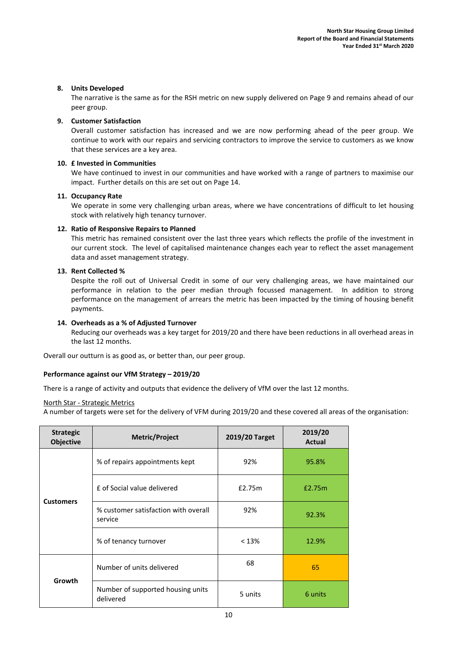#### 8. Units Developed

The narrative is the same as for the RSH metric on new supply delivered on Page 9 and remains ahead of our peer group.

#### 9. Customer Satisfaction

Overall customer satisfaction has increased and we are now performing ahead of the peer group. We continue to work with our repairs and servicing contractors to improve the service to customers as we know that these services are a key area.

#### 10. £ Invested in Communities

We have continued to invest in our communities and have worked with a range of partners to maximise our impact. Further details on this are set out on Page 14.

#### 11. Occupancy Rate

We operate in some very challenging urban areas, where we have concentrations of difficult to let housing stock with relatively high tenancy turnover.

#### 12. Ratio of Responsive Repairs to Planned

This metric has remained consistent over the last three years which reflects the profile of the investment in our current stock. The level of capitalised maintenance changes each year to reflect the asset management data and asset management strategy.

#### 13. Rent Collected %

Despite the roll out of Universal Credit in some of our very challenging areas, we have maintained our performance in relation to the peer median through focussed management. In addition to strong performance on the management of arrears the metric has been impacted by the timing of housing benefit payments.

#### 14. Overheads as a % of Adjusted Turnover

Reducing our overheads was a key target for 2019/20 and there have been reductions in all overhead areas in the last 12 months.

Overall our outturn is as good as, or better than, our peer group.

#### Performance against our VfM Strategy – 2019/20

There is a range of activity and outputs that evidence the delivery of VfM over the last 12 months.

#### North Star - Strategic Metrics

A number of targets were set for the delivery of VFM during 2019/20 and these covered all areas of the organisation:

| <b>Strategic</b><br><b>Objective</b> | Metric/Project                                                                                                      | 2019/20 Target | 2019/20<br><b>Actual</b> |
|--------------------------------------|---------------------------------------------------------------------------------------------------------------------|----------------|--------------------------|
|                                      | % of repairs appointments kept                                                                                      | 92%            | 95.8%                    |
|                                      | £ of Social value delivered<br>£2.75m<br><b>Customers</b><br>% customer satisfaction with overall<br>92%<br>service |                | £2.75m                   |
|                                      |                                                                                                                     |                | 92.3%                    |
|                                      | % of tenancy turnover                                                                                               | < 13%          | 12.9%                    |
|                                      | Number of units delivered                                                                                           | 68             | 65                       |
| Growth                               | Number of supported housing units<br>delivered                                                                      | 5 units        | 6 units                  |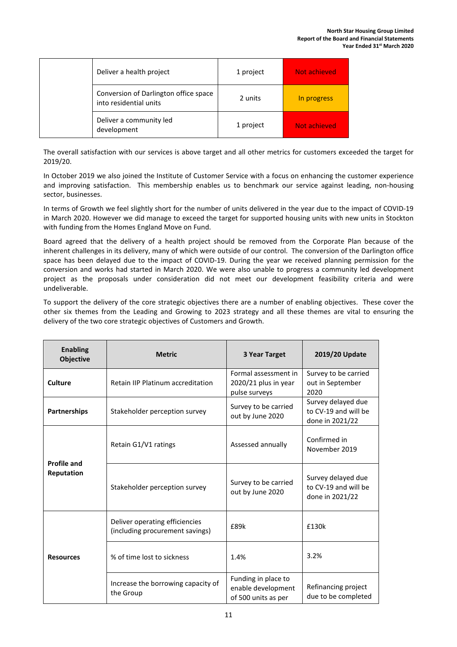| Deliver a health project                                        | 1 project | Not achieved  |
|-----------------------------------------------------------------|-----------|---------------|
| Conversion of Darlington office space<br>into residential units | 2 units   | In progress   |
| Deliver a community led<br>development                          | 1 project | Not achieved. |

The overall satisfaction with our services is above target and all other metrics for customers exceeded the target for 2019/20.

In October 2019 we also joined the Institute of Customer Service with a focus on enhancing the customer experience and improving satisfaction. This membership enables us to benchmark our service against leading, non-housing sector, businesses.

In terms of Growth we feel slightly short for the number of units delivered in the year due to the impact of COVID-19 in March 2020. However we did manage to exceed the target for supported housing units with new units in Stockton with funding from the Homes England Move on Fund.

Board agreed that the delivery of a health project should be removed from the Corporate Plan because of the inherent challenges in its delivery, many of which were outside of our control. The conversion of the Darlington office space has been delayed due to the impact of COVID-19. During the year we received planning permission for the conversion and works had started in March 2020. We were also unable to progress a community led development project as the proposals under consideration did not meet our development feasibility criteria and were undeliverable.

To support the delivery of the core strategic objectives there are a number of enabling objectives. These cover the other six themes from the Leading and Growing to 2023 strategy and all these themes are vital to ensuring the delivery of the two core strategic objectives of Customers and Growth.

| <b>Enabling</b><br><b>Objective</b> | <b>Metric</b>                                                     | 3 Year Target                                                    | 2019/20 Update                                                |
|-------------------------------------|-------------------------------------------------------------------|------------------------------------------------------------------|---------------------------------------------------------------|
| Culture                             | Retain IIP Platinum accreditation                                 | Formal assessment in<br>2020/21 plus in year<br>pulse surveys    | Survey to be carried<br>out in September<br>2020              |
| <b>Partnerships</b>                 | Stakeholder perception survey                                     | Survey to be carried<br>out by June 2020                         | Survey delayed due<br>to CV-19 and will be<br>done in 2021/22 |
|                                     | Retain G1/V1 ratings                                              | Assessed annually                                                | Confirmed in<br>November 2019                                 |
| <b>Profile and</b><br>Reputation    | Stakeholder perception survey                                     | Survey to be carried<br>out by June 2020                         | Survey delayed due<br>to CV-19 and will be<br>done in 2021/22 |
|                                     | Deliver operating efficiencies<br>(including procurement savings) | £89k                                                             | £130k                                                         |
| <b>Resources</b>                    | % of time lost to sickness                                        | 1.4%                                                             | 3.2%                                                          |
|                                     | Increase the borrowing capacity of<br>the Group                   | Funding in place to<br>enable development<br>of 500 units as per | Refinancing project<br>due to be completed                    |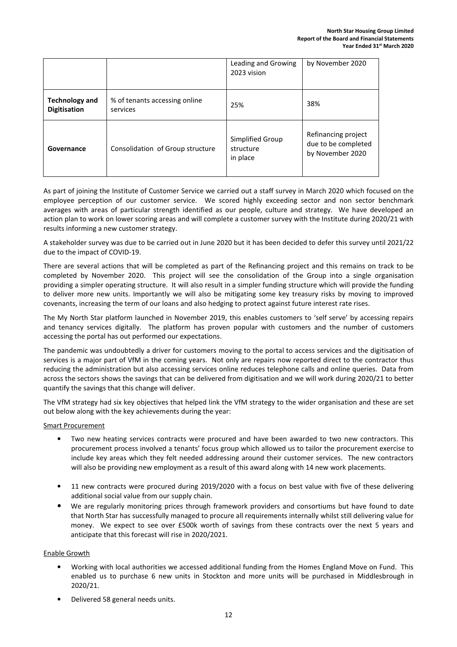|                                              |                                           | Leading and Growing<br>2023 vision        | by November 2020                                               |
|----------------------------------------------|-------------------------------------------|-------------------------------------------|----------------------------------------------------------------|
| <b>Technology and</b><br><b>Digitisation</b> | % of tenants accessing online<br>services | 25%                                       | 38%                                                            |
| Governance                                   | Consolidation of Group structure          | Simplified Group<br>structure<br>in place | Refinancing project<br>due to be completed<br>by November 2020 |

As part of joining the Institute of Customer Service we carried out a staff survey in March 2020 which focused on the employee perception of our customer service. We scored highly exceeding sector and non sector benchmark averages with areas of particular strength identified as our people, culture and strategy. We have developed an action plan to work on lower scoring areas and will complete a customer survey with the Institute during 2020/21 with results informing a new customer strategy.

A stakeholder survey was due to be carried out in June 2020 but it has been decided to defer this survey until 2021/22 due to the impact of COVID-19.

There are several actions that will be completed as part of the Refinancing project and this remains on track to be completed by November 2020. This project will see the consolidation of the Group into a single organisation providing a simpler operating structure. It will also result in a simpler funding structure which will provide the funding to deliver more new units. Importantly we will also be mitigating some key treasury risks by moving to improved covenants, increasing the term of our loans and also hedging to protect against future interest rate rises.

The My North Star platform launched in November 2019, this enables customers to 'self serve' by accessing repairs and tenancy services digitally. The platform has proven popular with customers and the number of customers accessing the portal has out performed our expectations.

The pandemic was undoubtedly a driver for customers moving to the portal to access services and the digitisation of services is a major part of VfM in the coming years. Not only are repairs now reported direct to the contractor thus reducing the administration but also accessing services online reduces telephone calls and online queries. Data from across the sectors shows the savings that can be delivered from digitisation and we will work during 2020/21 to better quantify the savings that this change will deliver.

The VfM strategy had six key objectives that helped link the VfM strategy to the wider organisation and these are set out below along with the key achievements during the year:

#### Smart Procurement

- Two new heating services contracts were procured and have been awarded to two new contractors. This procurement process involved a tenants' focus group which allowed us to tailor the procurement exercise to include key areas which they felt needed addressing around their customer services. The new contractors will also be providing new employment as a result of this award along with 14 new work placements.
- 11 new contracts were procured during 2019/2020 with a focus on best value with five of these delivering additional social value from our supply chain.
- We are regularly monitoring prices through framework providers and consortiums but have found to date that North Star has successfully managed to procure all requirements internally whilst still delivering value for money. We expect to see over £500k worth of savings from these contracts over the next 5 years and anticipate that this forecast will rise in 2020/2021.

#### Enable Growth

- Working with local authorities we accessed additional funding from the Homes England Move on Fund. This enabled us to purchase 6 new units in Stockton and more units will be purchased in Middlesbrough in 2020/21.
- Delivered 58 general needs units.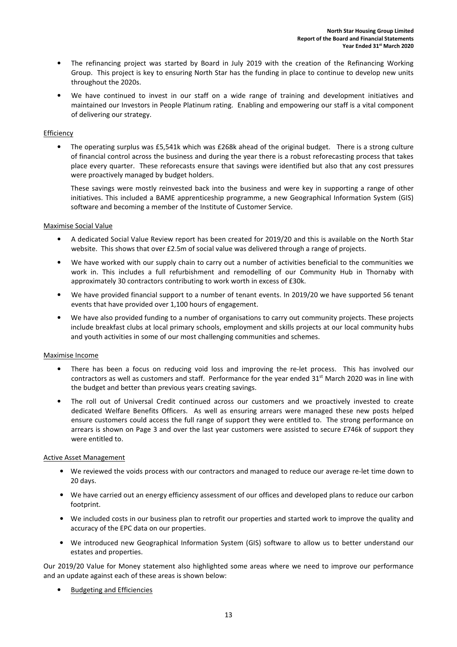- The refinancing project was started by Board in July 2019 with the creation of the Refinancing Working Group. This project is key to ensuring North Star has the funding in place to continue to develop new units throughout the 2020s.
- We have continued to invest in our staff on a wide range of training and development initiatives and maintained our Investors in People Platinum rating. Enabling and empowering our staff is a vital component of delivering our strategy.

#### Efficiency

The operating surplus was £5,541k which was £268k ahead of the original budget. There is a strong culture of financial control across the business and during the year there is a robust reforecasting process that takes place every quarter. These reforecasts ensure that savings were identified but also that any cost pressures were proactively managed by budget holders.

These savings were mostly reinvested back into the business and were key in supporting a range of other initiatives. This included a BAME apprenticeship programme, a new Geographical Information System (GIS) software and becoming a member of the Institute of Customer Service.

#### Maximise Social Value

- A dedicated Social Value Review report has been created for 2019/20 and this is available on the North Star website. This shows that over £2.5m of social value was delivered through a range of projects.
- We have worked with our supply chain to carry out a number of activities beneficial to the communities we work in. This includes a full refurbishment and remodelling of our Community Hub in Thornaby with approximately 30 contractors contributing to work worth in excess of £30k.
- We have provided financial support to a number of tenant events. In 2019/20 we have supported 56 tenant events that have provided over 1,100 hours of engagement.
- We have also provided funding to a number of organisations to carry out community projects. These projects include breakfast clubs at local primary schools, employment and skills projects at our local community hubs and youth activities in some of our most challenging communities and schemes.

#### Maximise Income

- There has been a focus on reducing void loss and improving the re-let process. This has involved our contractors as well as customers and staff. Performance for the year ended 31<sup>st</sup> March 2020 was in line with the budget and better than previous years creating savings.
- The roll out of Universal Credit continued across our customers and we proactively invested to create dedicated Welfare Benefits Officers. As well as ensuring arrears were managed these new posts helped ensure customers could access the full range of support they were entitled to. The strong performance on arrears is shown on Page 3 and over the last year customers were assisted to secure £746k of support they were entitled to.

#### Active Asset Management

- We reviewed the voids process with our contractors and managed to reduce our average re-let time down to 20 days.
- We have carried out an energy efficiency assessment of our offices and developed plans to reduce our carbon footprint.
- We included costs in our business plan to retrofit our properties and started work to improve the quality and accuracy of the EPC data on our properties.
- We introduced new Geographical Information System (GIS) software to allow us to better understand our estates and properties.

Our 2019/20 Value for Money statement also highlighted some areas where we need to improve our performance and an update against each of these areas is shown below:

• Budgeting and Efficiencies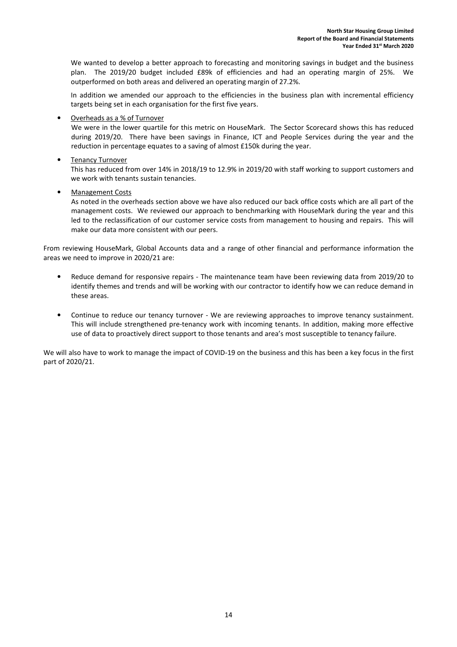We wanted to develop a better approach to forecasting and monitoring savings in budget and the business plan. The 2019/20 budget included £89k of efficiencies and had an operating margin of 25%. We outperformed on both areas and delivered an operating margin of 27.2%.

In addition we amended our approach to the efficiencies in the business plan with incremental efficiency targets being set in each organisation for the first five years.

• Overheads as a % of Turnover

We were in the lower quartile for this metric on HouseMark. The Sector Scorecard shows this has reduced during 2019/20. There have been savings in Finance, ICT and People Services during the year and the reduction in percentage equates to a saving of almost £150k during the year.

• Tenancy Turnover

This has reduced from over 14% in 2018/19 to 12.9% in 2019/20 with staff working to support customers and we work with tenants sustain tenancies.

• Management Costs

As noted in the overheads section above we have also reduced our back office costs which are all part of the management costs. We reviewed our approach to benchmarking with HouseMark during the year and this led to the reclassification of our customer service costs from management to housing and repairs. This will make our data more consistent with our peers.

From reviewing HouseMark, Global Accounts data and a range of other financial and performance information the areas we need to improve in 2020/21 are:

- Reduce demand for responsive repairs The maintenance team have been reviewing data from 2019/20 to identify themes and trends and will be working with our contractor to identify how we can reduce demand in these areas.
- Continue to reduce our tenancy turnover We are reviewing approaches to improve tenancy sustainment. This will include strengthened pre-tenancy work with incoming tenants. In addition, making more effective use of data to proactively direct support to those tenants and area's most susceptible to tenancy failure.

We will also have to work to manage the impact of COVID-19 on the business and this has been a key focus in the first part of 2020/21.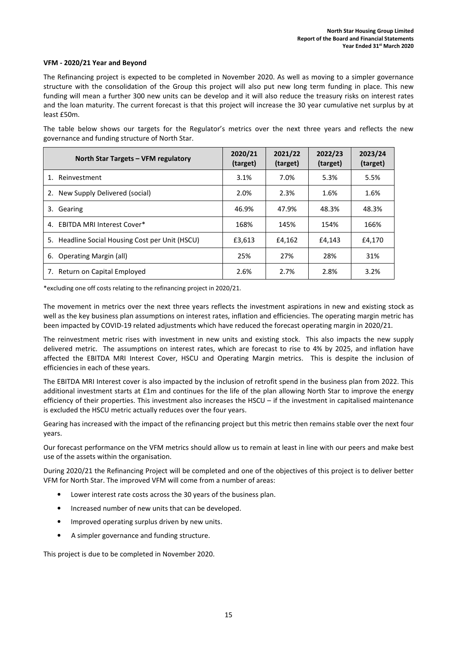#### VFM - 2020/21 Year and Beyond

The Refinancing project is expected to be completed in November 2020. As well as moving to a simpler governance structure with the consolidation of the Group this project will also put new long term funding in place. This new funding will mean a further 300 new units can be develop and it will also reduce the treasury risks on interest rates and the loan maturity. The current forecast is that this project will increase the 30 year cumulative net surplus by at least £50m.

The table below shows our targets for the Regulator's metrics over the next three years and reflects the new governance and funding structure of North Star.

| North Star Targets - VFM regulatory                | 2020/21<br>(target) | 2021/22<br>(target) | 2022/23<br>(target) | 2023/24<br>(target) |
|----------------------------------------------------|---------------------|---------------------|---------------------|---------------------|
| Reinvestment<br>$\mathbf{1}$ .                     | 3.1%                | 7.0%                | 5.3%                | 5.5%                |
| New Supply Delivered (social)                      | 2.0%                | 2.3%                | 1.6%                | 1.6%                |
| Gearing<br>3.                                      | 46.9%               | 47.9%               | 48.3%               | 48.3%               |
| <b>EBITDA MRI Interest Cover*</b><br>4.            | 168%                | 145%                | 154%                | 166%                |
| Headline Social Housing Cost per Unit (HSCU)<br>5. | £3,613              | £4,162              | £4,143              | £4,170              |
| <b>Operating Margin (all)</b><br>6.                | 25%                 | 27%                 | 28%                 | 31%                 |
| Return on Capital Employed<br>7.                   | 2.6%                | 2.7%                | 2.8%                | 3.2%                |

\*excluding one off costs relating to the refinancing project in 2020/21.

The movement in metrics over the next three years reflects the investment aspirations in new and existing stock as well as the key business plan assumptions on interest rates, inflation and efficiencies. The operating margin metric has been impacted by COVID-19 related adjustments which have reduced the forecast operating margin in 2020/21.

The reinvestment metric rises with investment in new units and existing stock. This also impacts the new supply delivered metric. The assumptions on interest rates, which are forecast to rise to 4% by 2025, and inflation have affected the EBITDA MRI Interest Cover, HSCU and Operating Margin metrics. This is despite the inclusion of efficiencies in each of these years.

The EBITDA MRI Interest cover is also impacted by the inclusion of retrofit spend in the business plan from 2022. This additional investment starts at £1m and continues for the life of the plan allowing North Star to improve the energy efficiency of their properties. This investment also increases the HSCU – if the investment in capitalised maintenance is excluded the HSCU metric actually reduces over the four years.

Gearing has increased with the impact of the refinancing project but this metric then remains stable over the next four years.

Our forecast performance on the VFM metrics should allow us to remain at least in line with our peers and make best use of the assets within the organisation.

During 2020/21 the Refinancing Project will be completed and one of the objectives of this project is to deliver better VFM for North Star. The improved VFM will come from a number of areas:

- Lower interest rate costs across the 30 years of the business plan.
- Increased number of new units that can be developed.
- Improved operating surplus driven by new units.
- A simpler governance and funding structure.

This project is due to be completed in November 2020.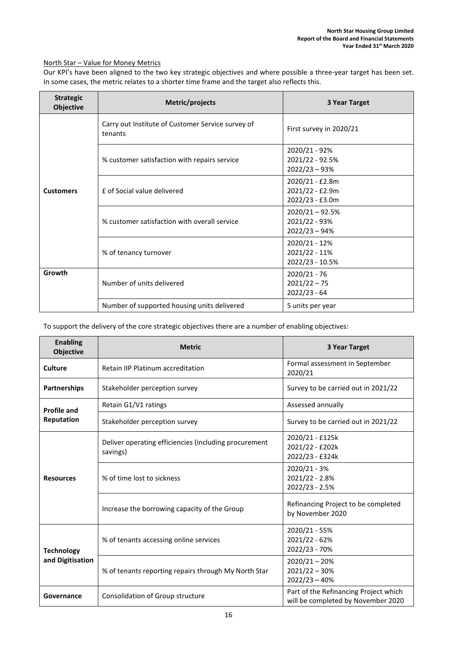# North Star – Value for Money Metrics

Our KPI's have been aligned to the two key strategic objectives and where possible a three-year target has been set. In some cases, the metric relates to a shorter time frame and the target also reflects this.

| <b>Strategic</b><br><b>Objective</b> | Metric/projects                                              | 3 Year Target                                         |
|--------------------------------------|--------------------------------------------------------------|-------------------------------------------------------|
|                                      | Carry out Institute of Customer Service survey of<br>tenants | First survey in 2020/21                               |
|                                      | % customer satisfaction with repairs service                 | 2020/21 - 92%<br>2021/22 - 92.5%<br>$2022/23 - 93%$   |
| <b>Customers</b>                     | f of Social value delivered                                  | 2020/21 - £2.8m<br>2021/22 - £2.9m<br>2022/23 - £3.0m |
|                                      | % customer satisfaction with overall service                 | $2020/21 - 92.5%$<br>2021/22 - 93%<br>$2022/23 - 94%$ |
|                                      | % of tenancy turnover                                        | 2020/21 - 12%<br>2021/22 - 11%<br>2022/23 - 10.5%     |
| Growth                               | Number of units delivered                                    | 2020/21 - 76<br>$2021/22 - 75$<br>$2022/23 - 64$      |
|                                      | Number of supported housing units delivered                  | 5 units per year                                      |

To support the delivery of the core strategic objectives there are a number of enabling objectives:

| <b>Enabling</b><br><b>Objective</b> | <b>Metric</b>                                                     | 3 Year Target                                                               |
|-------------------------------------|-------------------------------------------------------------------|-----------------------------------------------------------------------------|
| <b>Culture</b>                      | Retain IIP Platinum accreditation                                 | Formal assessment in September<br>2020/21                                   |
| <b>Partnerships</b>                 | Stakeholder perception survey                                     | Survey to be carried out in 2021/22                                         |
| <b>Profile and</b>                  | Retain G1/V1 ratings                                              | Assessed annually                                                           |
| Reputation                          | Stakeholder perception survey                                     | Survey to be carried out in 2021/22                                         |
|                                     | Deliver operating efficiencies (including procurement<br>savings) | 2020/21 - £125k<br>2021/22 - £202k<br>2022/23 - £324k                       |
| <b>Resources</b>                    | % of time lost to sickness                                        | 2020/21 - 3%<br>2021/22 - 2.8%<br>2022/23 - 2.5%                            |
|                                     | Increase the borrowing capacity of the Group                      | Refinancing Project to be completed<br>by November 2020                     |
| <b>Technology</b>                   | % of tenants accessing online services                            | 2020/21 - 55%<br>2021/22 - 62%<br>2022/23 - 70%                             |
| and Digitisation                    | % of tenants reporting repairs through My North Star              | $2020/21 - 20%$<br>$2021/22 - 30%$<br>$2022/23 - 40%$                       |
| Governance                          | Consolidation of Group structure                                  | Part of the Refinancing Project which<br>will be completed by November 2020 |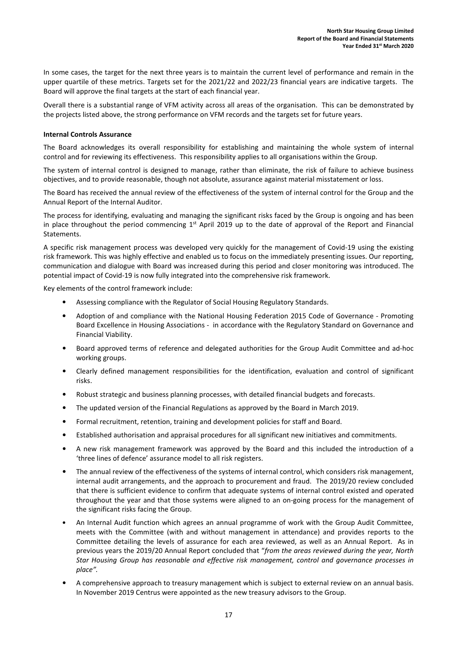In some cases, the target for the next three years is to maintain the current level of performance and remain in the upper quartile of these metrics. Targets set for the 2021/22 and 2022/23 financial years are indicative targets. The Board will approve the final targets at the start of each financial year.

Overall there is a substantial range of VFM activity across all areas of the organisation. This can be demonstrated by the projects listed above, the strong performance on VFM records and the targets set for future years.

#### Internal Controls Assurance

The Board acknowledges its overall responsibility for establishing and maintaining the whole system of internal control and for reviewing its effectiveness. This responsibility applies to all organisations within the Group.

The system of internal control is designed to manage, rather than eliminate, the risk of failure to achieve business objectives, and to provide reasonable, though not absolute, assurance against material misstatement or loss.

The Board has received the annual review of the effectiveness of the system of internal control for the Group and the Annual Report of the Internal Auditor.

The process for identifying, evaluating and managing the significant risks faced by the Group is ongoing and has been in place throughout the period commencing  $1<sup>st</sup>$  April 2019 up to the date of approval of the Report and Financial Statements.

A specific risk management process was developed very quickly for the management of Covid-19 using the existing risk framework. This was highly effective and enabled us to focus on the immediately presenting issues. Our reporting, communication and dialogue with Board was increased during this period and closer monitoring was introduced. The potential impact of Covid-19 is now fully integrated into the comprehensive risk framework.

Key elements of the control framework include:

- Assessing compliance with the Regulator of Social Housing Regulatory Standards.
- Adoption of and compliance with the National Housing Federation 2015 Code of Governance Promoting Board Excellence in Housing Associations - in accordance with the Regulatory Standard on Governance and Financial Viability.
- Board approved terms of reference and delegated authorities for the Group Audit Committee and ad-hoc working groups.
- Clearly defined management responsibilities for the identification, evaluation and control of significant risks.
- Robust strategic and business planning processes, with detailed financial budgets and forecasts.
- The updated version of the Financial Regulations as approved by the Board in March 2019.
- Formal recruitment, retention, training and development policies for staff and Board.
- Established authorisation and appraisal procedures for all significant new initiatives and commitments.
- A new risk management framework was approved by the Board and this included the introduction of a 'three lines of defence' assurance model to all risk registers.
- The annual review of the effectiveness of the systems of internal control, which considers risk management, internal audit arrangements, and the approach to procurement and fraud. The 2019/20 review concluded that there is sufficient evidence to confirm that adequate systems of internal control existed and operated throughout the year and that those systems were aligned to an on-going process for the management of the significant risks facing the Group.
- An Internal Audit function which agrees an annual programme of work with the Group Audit Committee, meets with the Committee (with and without management in attendance) and provides reports to the Committee detailing the levels of assurance for each area reviewed, as well as an Annual Report. As in previous years the 2019/20 Annual Report concluded that "from the areas reviewed during the year, North Star Housing Group has reasonable and effective risk management, control and governance processes in place".
- A comprehensive approach to treasury management which is subject to external review on an annual basis. In November 2019 Centrus were appointed as the new treasury advisors to the Group.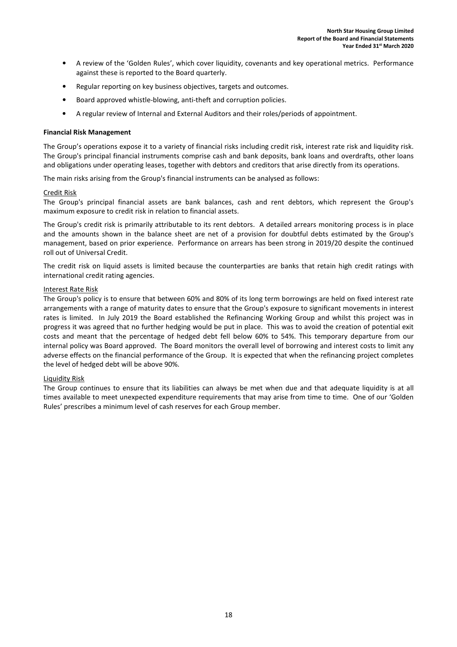- A review of the 'Golden Rules', which cover liquidity, covenants and key operational metrics. Performance against these is reported to the Board quarterly.
- Regular reporting on key business objectives, targets and outcomes.
- Board approved whistle-blowing, anti-theft and corruption policies.
- A regular review of Internal and External Auditors and their roles/periods of appointment.

#### Financial Risk Management

The Group's operations expose it to a variety of financial risks including credit risk, interest rate risk and liquidity risk. The Group's principal financial instruments comprise cash and bank deposits, bank loans and overdrafts, other loans and obligations under operating leases, together with debtors and creditors that arise directly from its operations.

The main risks arising from the Group's financial instruments can be analysed as follows:

### Credit Risk

The Group's principal financial assets are bank balances, cash and rent debtors, which represent the Group's maximum exposure to credit risk in relation to financial assets.

The Group's credit risk is primarily attributable to its rent debtors. A detailed arrears monitoring process is in place and the amounts shown in the balance sheet are net of a provision for doubtful debts estimated by the Group's management, based on prior experience. Performance on arrears has been strong in 2019/20 despite the continued roll out of Universal Credit.

The credit risk on liquid assets is limited because the counterparties are banks that retain high credit ratings with international credit rating agencies.

### Interest Rate Risk

The Group's policy is to ensure that between 60% and 80% of its long term borrowings are held on fixed interest rate arrangements with a range of maturity dates to ensure that the Group's exposure to significant movements in interest rates is limited. In July 2019 the Board established the Refinancing Working Group and whilst this project was in progress it was agreed that no further hedging would be put in place. This was to avoid the creation of potential exit costs and meant that the percentage of hedged debt fell below 60% to 54%. This temporary departure from our internal policy was Board approved. The Board monitors the overall level of borrowing and interest costs to limit any adverse effects on the financial performance of the Group. It is expected that when the refinancing project completes the level of hedged debt will be above 90%.

# Liquidity Risk

The Group continues to ensure that its liabilities can always be met when due and that adequate liquidity is at all times available to meet unexpected expenditure requirements that may arise from time to time. One of our 'Golden Rules' prescribes a minimum level of cash reserves for each Group member.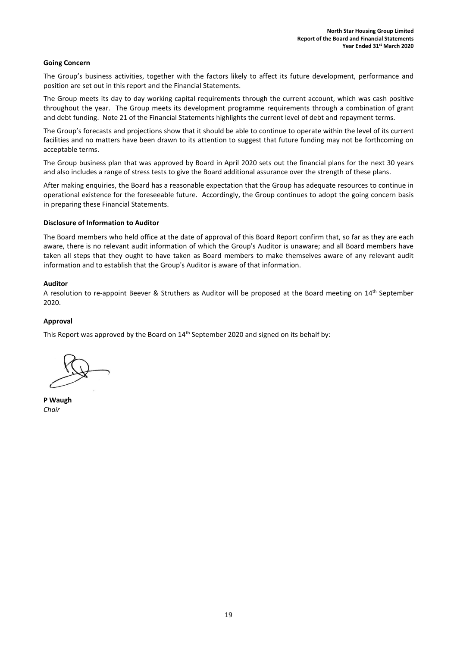#### Going Concern

The Group's business activities, together with the factors likely to affect its future development, performance and position are set out in this report and the Financial Statements.

The Group meets its day to day working capital requirements through the current account, which was cash positive throughout the year. The Group meets its development programme requirements through a combination of grant and debt funding. Note 21 of the Financial Statements highlights the current level of debt and repayment terms.

The Group's forecasts and projections show that it should be able to continue to operate within the level of its current facilities and no matters have been drawn to its attention to suggest that future funding may not be forthcoming on acceptable terms.

The Group business plan that was approved by Board in April 2020 sets out the financial plans for the next 30 years and also includes a range of stress tests to give the Board additional assurance over the strength of these plans.

After making enquiries, the Board has a reasonable expectation that the Group has adequate resources to continue in operational existence for the foreseeable future. Accordingly, the Group continues to adopt the going concern basis in preparing these Financial Statements.

#### Disclosure of Information to Auditor

The Board members who held office at the date of approval of this Board Report confirm that, so far as they are each aware, there is no relevant audit information of which the Group's Auditor is unaware; and all Board members have taken all steps that they ought to have taken as Board members to make themselves aware of any relevant audit information and to establish that the Group's Auditor is aware of that information.

#### Auditor

A resolution to re-appoint Beever & Struthers as Auditor will be proposed at the Board meeting on 14th September 2020.

#### Approval

This Report was approved by the Board on 14<sup>th</sup> September 2020 and signed on its behalf by:

P Waugh Chair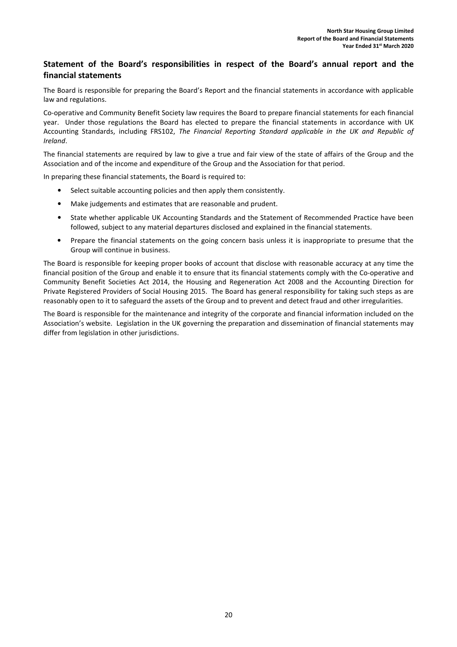# Statement of the Board's responsibilities in respect of the Board's annual report and the financial statements

The Board is responsible for preparing the Board's Report and the financial statements in accordance with applicable law and regulations.

Co-operative and Community Benefit Society law requires the Board to prepare financial statements for each financial year. Under those regulations the Board has elected to prepare the financial statements in accordance with UK Accounting Standards, including FRS102, The Financial Reporting Standard applicable in the UK and Republic of Ireland.

The financial statements are required by law to give a true and fair view of the state of affairs of the Group and the Association and of the income and expenditure of the Group and the Association for that period.

In preparing these financial statements, the Board is required to:

- Select suitable accounting policies and then apply them consistently.
- Make judgements and estimates that are reasonable and prudent.
- State whether applicable UK Accounting Standards and the Statement of Recommended Practice have been followed, subject to any material departures disclosed and explained in the financial statements.
- Prepare the financial statements on the going concern basis unless it is inappropriate to presume that the Group will continue in business.

The Board is responsible for keeping proper books of account that disclose with reasonable accuracy at any time the financial position of the Group and enable it to ensure that its financial statements comply with the Co-operative and Community Benefit Societies Act 2014, the Housing and Regeneration Act 2008 and the Accounting Direction for Private Registered Providers of Social Housing 2015. The Board has general responsibility for taking such steps as are reasonably open to it to safeguard the assets of the Group and to prevent and detect fraud and other irregularities.

The Board is responsible for the maintenance and integrity of the corporate and financial information included on the Association's website. Legislation in the UK governing the preparation and dissemination of financial statements may differ from legislation in other jurisdictions.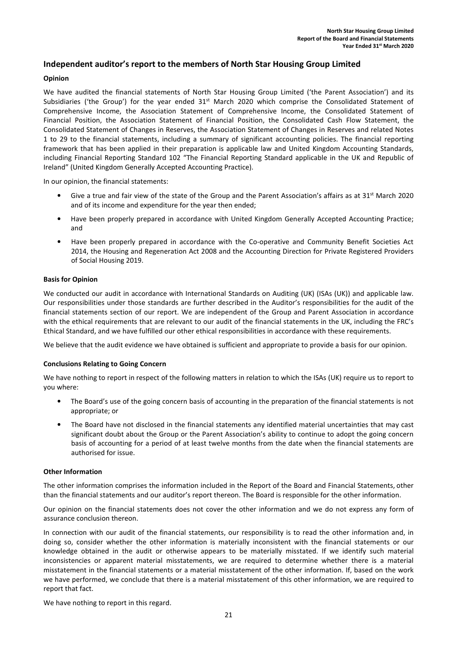# Independent auditor's report to the members of North Star Housing Group Limited

#### Opinion

We have audited the financial statements of North Star Housing Group Limited ('the Parent Association') and its Subsidiaries ('the Group') for the year ended  $31^{st}$  March 2020 which comprise the Consolidated Statement of Comprehensive Income, the Association Statement of Comprehensive Income, the Consolidated Statement of Financial Position, the Association Statement of Financial Position, the Consolidated Cash Flow Statement, the Consolidated Statement of Changes in Reserves, the Association Statement of Changes in Reserves and related Notes 1 to 29 to the financial statements, including a summary of significant accounting policies. The financial reporting framework that has been applied in their preparation is applicable law and United Kingdom Accounting Standards, including Financial Reporting Standard 102 "The Financial Reporting Standard applicable in the UK and Republic of Ireland" (United Kingdom Generally Accepted Accounting Practice).

In our opinion, the financial statements:

- Give a true and fair view of the state of the Group and the Parent Association's affairs as at  $31<sup>st</sup>$  March 2020 and of its income and expenditure for the year then ended;
- Have been properly prepared in accordance with United Kingdom Generally Accepted Accounting Practice; and
- Have been properly prepared in accordance with the Co-operative and Community Benefit Societies Act 2014, the Housing and Regeneration Act 2008 and the Accounting Direction for Private Registered Providers of Social Housing 2019.

#### Basis for Opinion

We conducted our audit in accordance with International Standards on Auditing (UK) (ISAs (UK)) and applicable law. Our responsibilities under those standards are further described in the Auditor's responsibilities for the audit of the financial statements section of our report. We are independent of the Group and Parent Association in accordance with the ethical requirements that are relevant to our audit of the financial statements in the UK, including the FRC's Ethical Standard, and we have fulfilled our other ethical responsibilities in accordance with these requirements.

We believe that the audit evidence we have obtained is sufficient and appropriate to provide a basis for our opinion.

#### Conclusions Relating to Going Concern

We have nothing to report in respect of the following matters in relation to which the ISAs (UK) require us to report to you where:

- The Board's use of the going concern basis of accounting in the preparation of the financial statements is not appropriate; or
- The Board have not disclosed in the financial statements any identified material uncertainties that may cast significant doubt about the Group or the Parent Association's ability to continue to adopt the going concern basis of accounting for a period of at least twelve months from the date when the financial statements are authorised for issue.

#### Other Information

The other information comprises the information included in the Report of the Board and Financial Statements, other than the financial statements and our auditor's report thereon. The Board is responsible for the other information.

Our opinion on the financial statements does not cover the other information and we do not express any form of assurance conclusion thereon.

In connection with our audit of the financial statements, our responsibility is to read the other information and, in doing so, consider whether the other information is materially inconsistent with the financial statements or our knowledge obtained in the audit or otherwise appears to be materially misstated. If we identify such material inconsistencies or apparent material misstatements, we are required to determine whether there is a material misstatement in the financial statements or a material misstatement of the other information. If, based on the work we have performed, we conclude that there is a material misstatement of this other information, we are required to report that fact.

We have nothing to report in this regard.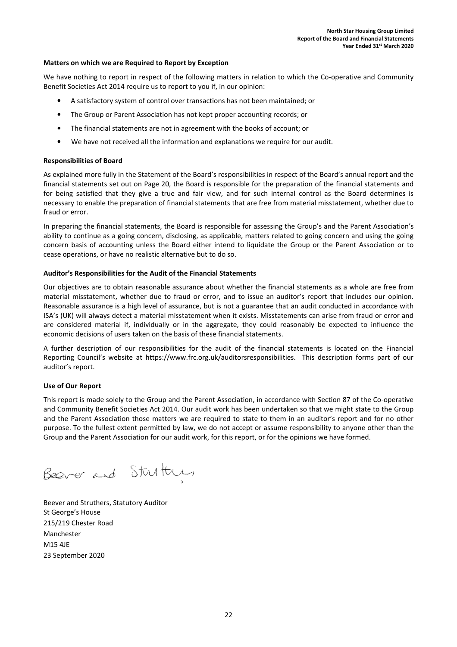#### Matters on which we are Required to Report by Exception

We have nothing to report in respect of the following matters in relation to which the Co-operative and Community Benefit Societies Act 2014 require us to report to you if, in our opinion:

- A satisfactory system of control over transactions has not been maintained; or
- The Group or Parent Association has not kept proper accounting records; or
- The financial statements are not in agreement with the books of account; or
- We have not received all the information and explanations we require for our audit.

#### Responsibilities of Board

As explained more fully in the Statement of the Board's responsibilities in respect of the Board's annual report and the financial statements set out on Page 20, the Board is responsible for the preparation of the financial statements and for being satisfied that they give a true and fair view, and for such internal control as the Board determines is necessary to enable the preparation of financial statements that are free from material misstatement, whether due to fraud or error.

In preparing the financial statements, the Board is responsible for assessing the Group's and the Parent Association's ability to continue as a going concern, disclosing, as applicable, matters related to going concern and using the going concern basis of accounting unless the Board either intend to liquidate the Group or the Parent Association or to cease operations, or have no realistic alternative but to do so.

#### Auditor's Responsibilities for the Audit of the Financial Statements

Our objectives are to obtain reasonable assurance about whether the financial statements as a whole are free from material misstatement, whether due to fraud or error, and to issue an auditor's report that includes our opinion. Reasonable assurance is a high level of assurance, but is not a guarantee that an audit conducted in accordance with ISA's (UK) will always detect a material misstatement when it exists. Misstatements can arise from fraud or error and are considered material if, individually or in the aggregate, they could reasonably be expected to influence the economic decisions of users taken on the basis of these financial statements.

A further description of our responsibilities for the audit of the financial statements is located on the Financial Reporting Council's website at https://www.frc.org.uk/auditorsresponsibilities. This description forms part of our auditor's report.

#### Use of Our Report

This report is made solely to the Group and the Parent Association, in accordance with Section 87 of the Co-operative and Community Benefit Societies Act 2014. Our audit work has been undertaken so that we might state to the Group and the Parent Association those matters we are required to state to them in an auditor's report and for no other purpose. To the fullest extent permitted by law, we do not accept or assume responsibility to anyone other than the Group and the Parent Association for our audit work, for this report, or for the opinions we have formed.

Beever and Struttures

Beever and Struthers, Statutory Auditor St George's House 215/219 Chester Road Manchester M15 4JE 23 September 2020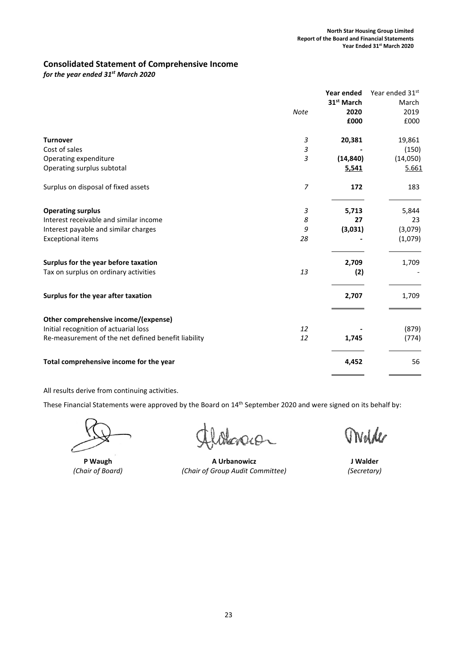# Consolidated Statement of Comprehensive Income

for the year ended  $31<sup>st</sup>$  March 2020

|                                                     |                | Year ended             | Year ended 31st |
|-----------------------------------------------------|----------------|------------------------|-----------------|
|                                                     |                | 31 <sup>st</sup> March | March           |
|                                                     | <b>Note</b>    | 2020                   | 2019            |
|                                                     |                | £000                   | £000            |
| <b>Turnover</b>                                     | $\mathfrak z$  | 20,381                 | 19,861          |
| Cost of sales                                       | 3              |                        | (150)           |
| Operating expenditure                               | 3              | (14, 840)              | (14,050)        |
| Operating surplus subtotal                          |                | 5,541                  | 5.661           |
| Surplus on disposal of fixed assets                 | $\overline{z}$ | 172                    | 183             |
| <b>Operating surplus</b>                            | 3              | 5,713                  | 5,844           |
| Interest receivable and similar income              | 8              | 27                     | 23              |
| Interest payable and similar charges                | 9              | (3,031)                | (3,079)         |
| <b>Exceptional items</b>                            | 28             |                        | (1,079)         |
| Surplus for the year before taxation                |                | 2,709                  | 1,709           |
| Tax on surplus on ordinary activities               | 13             | (2)                    |                 |
| Surplus for the year after taxation                 |                | 2,707                  | 1,709           |
| Other comprehensive income/(expense)                |                |                        |                 |
| Initial recognition of actuarial loss               | 12             |                        | (879)           |
| Re-measurement of the net defined benefit liability | 12             | 1,745                  | (774)           |
| Total comprehensive income for the year             |                | 4,452                  | 56              |
|                                                     |                |                        |                 |

All results derive from continuing activities.

karen

P Waugh **A Urbanowicz A Urbanowicz A Urbanowicz A** Urbanowicz and A Urbanowicz and A Urbanowicz and A Urbanowicz and A Urbanowicz and A Urbanowicz and A Urbanowicz and A Urbanowicz and A Urbanowicz and A Urbanowicz a (Chair of Board) (Chair of Group Audit Committee) (Secretary)

Welder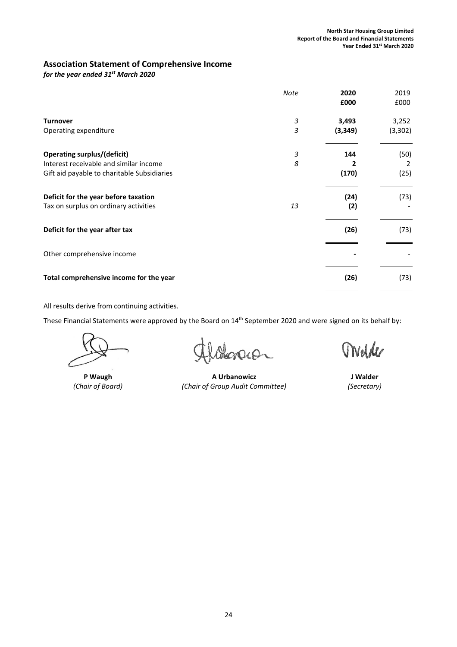# Association Statement of Comprehensive Income

for the year ended  $31<sup>st</sup>$  March 2020

|                                             | <b>Note</b> | 2020<br>£000 | 2019<br>£000 |
|---------------------------------------------|-------------|--------------|--------------|
| <b>Turnover</b>                             | 3           | 3,493        | 3,252        |
| Operating expenditure                       | 3           | (3, 349)     | (3,302)      |
| <b>Operating surplus/(deficit)</b>          | 3           | 144          | (50)         |
| Interest receivable and similar income      | 8           |              | 2            |
| Gift aid payable to charitable Subsidiaries |             | (170)        | (25)         |
| Deficit for the year before taxation        |             | (24)         | (73)         |
| Tax on surplus on ordinary activities       | 13          | (2)          |              |
| Deficit for the year after tax              |             | (26)         | (73)         |
| Other comprehensive income                  |             |              |              |
| Total comprehensive income for the year     |             | (26)         | (73)         |

All results derive from continuing activities.

crach

P Waugh **A Urbanowicz A Urbanowicz A Urbanowicz A** UNE (Chair of Board) (Chair of Group Audit Committee) (Secretary)

Ovelde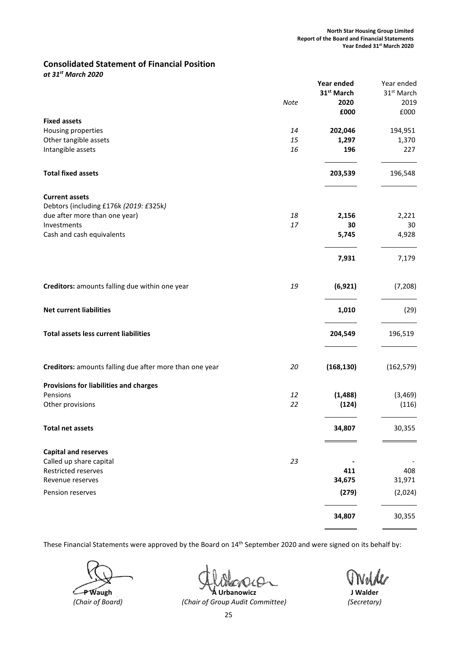# Consolidated Statement of Financial Position

at 31st March 2020

|                                                         |      | Year ended             | Year ended             |
|---------------------------------------------------------|------|------------------------|------------------------|
|                                                         |      | 31 <sup>st</sup> March | 31 <sup>st</sup> March |
|                                                         | Note | 2020                   | 2019                   |
|                                                         |      | £000                   | £000                   |
| <b>Fixed assets</b>                                     |      |                        |                        |
| Housing properties                                      | 14   | 202,046                | 194,951                |
| Other tangible assets                                   | 15   | 1,297                  | 1,370                  |
|                                                         | 16   | 196                    | 227                    |
| Intangible assets                                       |      |                        |                        |
| <b>Total fixed assets</b>                               |      | 203,539                | 196,548                |
| <b>Current assets</b>                                   |      |                        |                        |
| Debtors (including £176k (2019: £325k)                  |      |                        |                        |
| due after more than one year)                           | 18   | 2,156                  | 2,221                  |
| Investments                                             | 17   | 30                     | 30                     |
| Cash and cash equivalents                               |      | 5,745                  | 4,928                  |
|                                                         |      | 7,931                  | 7,179                  |
| Creditors: amounts falling due within one year          | 19   | (6, 921)               | (7, 208)               |
|                                                         |      |                        |                        |
| <b>Net current liabilities</b>                          |      | 1,010                  | (29)                   |
| <b>Total assets less current liabilities</b>            |      | 204,549                | 196,519                |
| Creditors: amounts falling due after more than one year | 20   | (168, 130)             | (162, 579)             |
| Provisions for liabilities and charges                  |      |                        |                        |
| Pensions                                                | 12   | (1, 488)               | (3, 469)               |
| Other provisions                                        | 22   | (124)                  | (116)                  |
| <b>Total net assets</b>                                 |      | 34,807                 | 30,355                 |
| <b>Capital and reserves</b>                             |      |                        |                        |
| Called up share capital                                 | 23   |                        |                        |
| Restricted reserves                                     |      | 411                    | 408                    |
| Revenue reserves                                        |      | 34,675                 | 31,971                 |
| Pension reserves                                        |      | (279)                  | (2,024)                |
|                                                         |      |                        |                        |
|                                                         |      | 34,807                 | 30,355                 |

 $40-$ 

**P** Waugh **A Urbanowicz A** Urbanowicz **A** Urbanowicz **A** Urbanowicz **A** Urbanowicz **A** (Chair of Board) (Chair of Group Audit Committee) (Secretary)

Nelder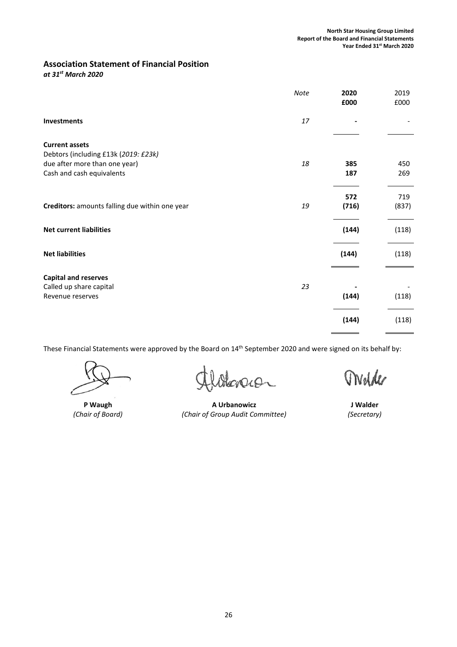# Association Statement of Financial Position

at 31st March 2020

|                                                                            | Note | 2020<br>£000 | 2019<br>£000 |
|----------------------------------------------------------------------------|------|--------------|--------------|
| <b>Investments</b>                                                         | 17   |              |              |
| <b>Current assets</b><br>Debtors (including £13k (2019: £23k)              |      |              |              |
| due after more than one year)<br>Cash and cash equivalents                 | 18   | 385<br>187   | 450<br>269   |
| Creditors: amounts falling due within one year                             | 19   | 572<br>(716) | 719<br>(837) |
| <b>Net current liabilities</b>                                             |      | (144)        | (118)        |
| <b>Net liabilities</b>                                                     |      | (144)        | (118)        |
| <b>Capital and reserves</b><br>Called up share capital<br>Revenue reserves | 23   | (144)        | (118)        |
|                                                                            |      | (144)        | (118)        |

cracer

P Waugh **A Urbanowicz A Urbanowicz A Urbanowicz A** Urbanowicz **A** U (Chair of Board) (Chair of Group Audit Committee) (Secretary)

Welder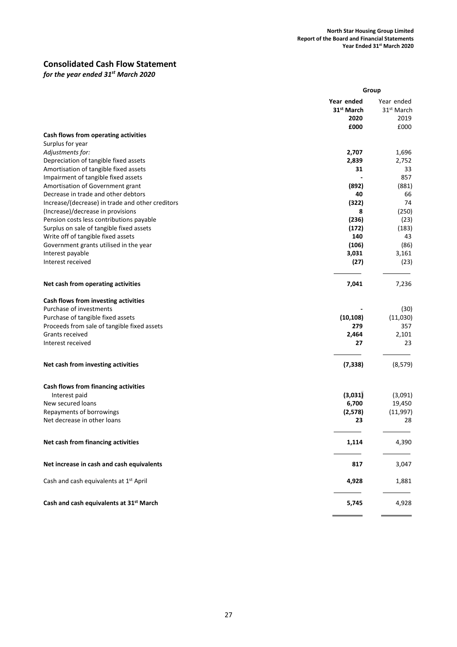# Consolidated Cash Flow Statement

for the year ended 31<sup>st</sup> March 2020

|                                                                         |                                                      | Group                                                |
|-------------------------------------------------------------------------|------------------------------------------------------|------------------------------------------------------|
|                                                                         | Year ended<br>31 <sup>st</sup> March<br>2020<br>£000 | Year ended<br>31 <sup>st</sup> March<br>2019<br>£000 |
| Cash flows from operating activities                                    |                                                      |                                                      |
| Surplus for year                                                        |                                                      |                                                      |
| Adjustments for:                                                        | 2,707                                                | 1,696                                                |
| Depreciation of tangible fixed assets                                   | 2,839                                                | 2,752                                                |
| Amortisation of tangible fixed assets                                   | 31                                                   | 33                                                   |
| Impairment of tangible fixed assets<br>Amortisation of Government grant | (892)                                                | 857<br>(881)                                         |
| Decrease in trade and other debtors                                     | 40                                                   | 66                                                   |
| Increase/(decrease) in trade and other creditors                        | (322)                                                | 74                                                   |
| (Increase)/decrease in provisions                                       | 8                                                    | (250)                                                |
| Pension costs less contributions payable                                | (236)                                                | (23)                                                 |
| Surplus on sale of tangible fixed assets                                | (172)                                                | (183)                                                |
| Write off of tangible fixed assets                                      | 140                                                  | 43                                                   |
| Government grants utilised in the year                                  | (106)                                                | (86)                                                 |
| Interest payable                                                        | 3,031                                                | 3,161                                                |
| Interest received                                                       | (27)                                                 | (23)                                                 |
| Net cash from operating activities                                      | 7,041                                                | 7,236                                                |
| Cash flows from investing activities                                    |                                                      |                                                      |
| Purchase of investments                                                 |                                                      | (30)                                                 |
| Purchase of tangible fixed assets                                       | (10, 108)                                            | (11,030)                                             |
| Proceeds from sale of tangible fixed assets<br>Grants received          | 279<br>2,464                                         | 357<br>2,101                                         |
| Interest received                                                       | 27                                                   | 23                                                   |
|                                                                         |                                                      |                                                      |
| Net cash from investing activities                                      | (7, 338)                                             | (8, 579)                                             |
| Cash flows from financing activities                                    |                                                      |                                                      |
| Interest paid                                                           | (3,031)                                              | (3,091)                                              |
| New secured loans                                                       | 6,700                                                | 19,450                                               |
| Repayments of borrowings                                                | (2,578)                                              | (11, 997)                                            |
| Net decrease in other loans                                             | 23                                                   | 28                                                   |
| Net cash from financing activities                                      | 1,114                                                | 4,390                                                |
| Net increase in cash and cash equivalents                               | 817                                                  | 3,047                                                |
| Cash and cash equivalents at 1 <sup>st</sup> April                      | 4,928                                                | 1,881                                                |
| Cash and cash equivalents at 31 <sup>st</sup> March                     | 5,745                                                | 4,928                                                |
|                                                                         |                                                      |                                                      |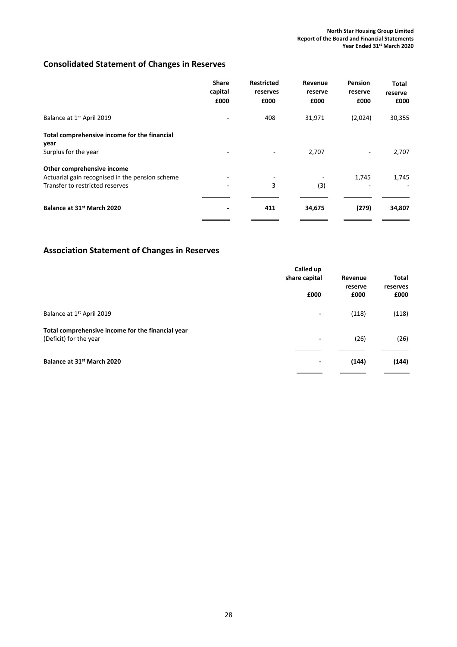# Consolidated Statement of Changes in Reserves

|                                                      | <b>Share</b><br>capital<br>£000 | <b>Restricted</b><br>reserves<br>£000 | Revenue<br>reserve<br>£000 | Pension<br>reserve<br>£000 | <b>Total</b><br>reserve<br>£000 |
|------------------------------------------------------|---------------------------------|---------------------------------------|----------------------------|----------------------------|---------------------------------|
| Balance at 1 <sup>st</sup> April 2019                |                                 | 408                                   | 31,971                     | (2,024)                    | 30,355                          |
| Total comprehensive income for the financial<br>year |                                 |                                       |                            |                            |                                 |
| Surplus for the year                                 |                                 |                                       | 2,707                      | -                          | 2,707                           |
| Other comprehensive income                           |                                 |                                       |                            |                            |                                 |
| Actuarial gain recognised in the pension scheme      |                                 |                                       |                            | 1,745                      | 1,745                           |
| Transfer to restricted reserves                      |                                 | 3                                     | (3)                        |                            |                                 |
| Balance at 31st March 2020                           |                                 | 411                                   | 34,675                     | (279)                      | 34,807                          |

# Association Statement of Changes in Reserves

|                                                                             | Called up<br>share capital | Revenue<br>reserve | Total<br>reserves |
|-----------------------------------------------------------------------------|----------------------------|--------------------|-------------------|
|                                                                             | £000                       | £000               | £000              |
| Balance at 1 <sup>st</sup> April 2019                                       | ٠                          | (118)              | (118)             |
| Total comprehensive income for the financial year<br>(Deficit) for the year | -                          | (26)               | (26)              |
| Balance at 31st March 2020                                                  | $\overline{\phantom{a}}$   | (144)              | (144)             |
|                                                                             |                            |                    |                   |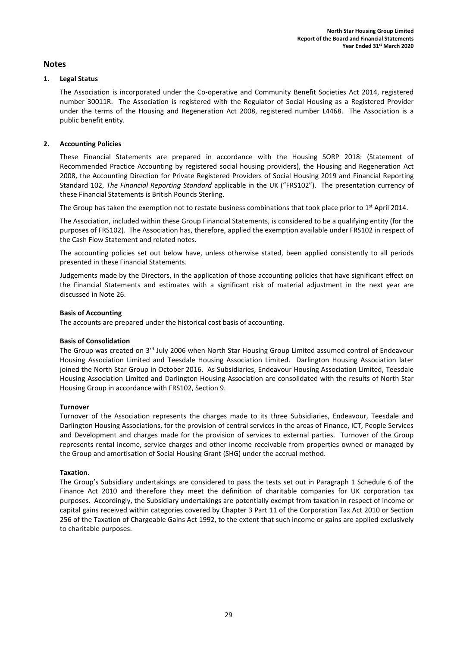# Notes

# 1. Legal Status

The Association is incorporated under the Co-operative and Community Benefit Societies Act 2014, registered number 30011R. The Association is registered with the Regulator of Social Housing as a Registered Provider under the terms of the Housing and Regeneration Act 2008, registered number L4468. The Association is a public benefit entity.

# 2. Accounting Policies

These Financial Statements are prepared in accordance with the Housing SORP 2018: (Statement of Recommended Practice Accounting by registered social housing providers), the Housing and Regeneration Act 2008, the Accounting Direction for Private Registered Providers of Social Housing 2019 and Financial Reporting Standard 102, The Financial Reporting Standard applicable in the UK ("FRS102"). The presentation currency of these Financial Statements is British Pounds Sterling.

The Group has taken the exemption not to restate business combinations that took place prior to 1<sup>st</sup> April 2014.

The Association, included within these Group Financial Statements, is considered to be a qualifying entity (for the purposes of FRS102). The Association has, therefore, applied the exemption available under FRS102 in respect of the Cash Flow Statement and related notes.

The accounting policies set out below have, unless otherwise stated, been applied consistently to all periods presented in these Financial Statements.

Judgements made by the Directors, in the application of those accounting policies that have significant effect on the Financial Statements and estimates with a significant risk of material adjustment in the next year are discussed in Note 26.

### Basis of Accounting

The accounts are prepared under the historical cost basis of accounting.

# Basis of Consolidation

The Group was created on 3<sup>rd</sup> July 2006 when North Star Housing Group Limited assumed control of Endeavour Housing Association Limited and Teesdale Housing Association Limited. Darlington Housing Association later joined the North Star Group in October 2016. As Subsidiaries, Endeavour Housing Association Limited, Teesdale Housing Association Limited and Darlington Housing Association are consolidated with the results of North Star Housing Group in accordance with FRS102, Section 9.

#### Turnover

Turnover of the Association represents the charges made to its three Subsidiaries, Endeavour, Teesdale and Darlington Housing Associations, for the provision of central services in the areas of Finance, ICT, People Services and Development and charges made for the provision of services to external parties. Turnover of the Group represents rental income, service charges and other income receivable from properties owned or managed by the Group and amortisation of Social Housing Grant (SHG) under the accrual method.

#### Taxation.

The Group's Subsidiary undertakings are considered to pass the tests set out in Paragraph 1 Schedule 6 of the Finance Act 2010 and therefore they meet the definition of charitable companies for UK corporation tax purposes. Accordingly, the Subsidiary undertakings are potentially exempt from taxation in respect of income or capital gains received within categories covered by Chapter 3 Part 11 of the Corporation Tax Act 2010 or Section 256 of the Taxation of Chargeable Gains Act 1992, to the extent that such income or gains are applied exclusively to charitable purposes.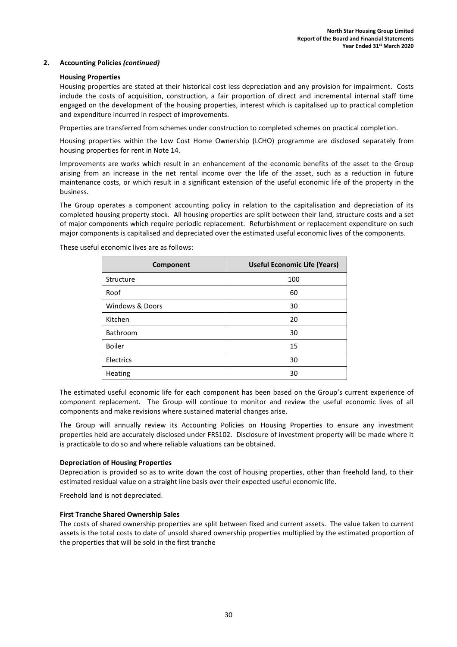#### Housing Properties

Housing properties are stated at their historical cost less depreciation and any provision for impairment. Costs include the costs of acquisition, construction, a fair proportion of direct and incremental internal staff time engaged on the development of the housing properties, interest which is capitalised up to practical completion and expenditure incurred in respect of improvements.

Properties are transferred from schemes under construction to completed schemes on practical completion.

Housing properties within the Low Cost Home Ownership (LCHO) programme are disclosed separately from housing properties for rent in Note 14.

Improvements are works which result in an enhancement of the economic benefits of the asset to the Group arising from an increase in the net rental income over the life of the asset, such as a reduction in future maintenance costs, or which result in a significant extension of the useful economic life of the property in the business.

The Group operates a component accounting policy in relation to the capitalisation and depreciation of its completed housing property stock. All housing properties are split between their land, structure costs and a set of major components which require periodic replacement. Refurbishment or replacement expenditure on such major components is capitalised and depreciated over the estimated useful economic lives of the components.

| Component       | <b>Useful Economic Life (Years)</b> |
|-----------------|-------------------------------------|
| Structure       | 100                                 |
| Roof            | 60                                  |
| Windows & Doors | 30                                  |
| Kitchen         | 20                                  |
| Bathroom        | 30                                  |
| <b>Boiler</b>   | 15                                  |
| Electrics       | 30                                  |
| Heating         | 30                                  |

These useful economic lives are as follows:

The estimated useful economic life for each component has been based on the Group's current experience of component replacement. The Group will continue to monitor and review the useful economic lives of all components and make revisions where sustained material changes arise.

The Group will annually review its Accounting Policies on Housing Properties to ensure any investment properties held are accurately disclosed under FRS102. Disclosure of investment property will be made where it is practicable to do so and where reliable valuations can be obtained.

#### Depreciation of Housing Properties

Depreciation is provided so as to write down the cost of housing properties, other than freehold land, to their estimated residual value on a straight line basis over their expected useful economic life.

Freehold land is not depreciated.

#### First Tranche Shared Ownership Sales

The costs of shared ownership properties are split between fixed and current assets. The value taken to current assets is the total costs to date of unsold shared ownership properties multiplied by the estimated proportion of the properties that will be sold in the first tranche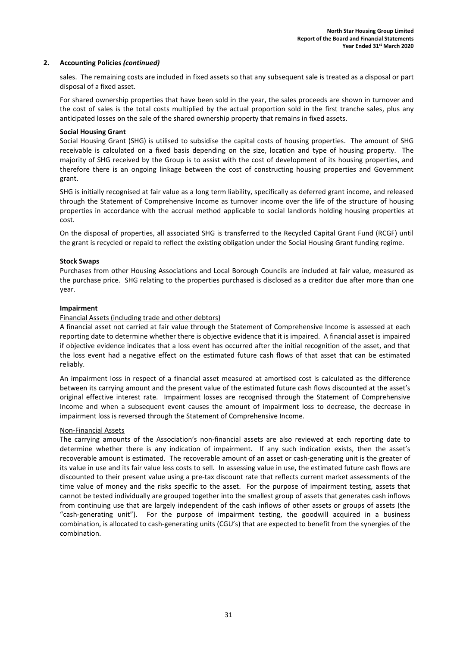sales. The remaining costs are included in fixed assets so that any subsequent sale is treated as a disposal or part disposal of a fixed asset.

For shared ownership properties that have been sold in the year, the sales proceeds are shown in turnover and the cost of sales is the total costs multiplied by the actual proportion sold in the first tranche sales, plus any anticipated losses on the sale of the shared ownership property that remains in fixed assets.

#### Social Housing Grant

Social Housing Grant (SHG) is utilised to subsidise the capital costs of housing properties. The amount of SHG receivable is calculated on a fixed basis depending on the size, location and type of housing property. The majority of SHG received by the Group is to assist with the cost of development of its housing properties, and therefore there is an ongoing linkage between the cost of constructing housing properties and Government grant.

SHG is initially recognised at fair value as a long term liability, specifically as deferred grant income, and released through the Statement of Comprehensive Income as turnover income over the life of the structure of housing properties in accordance with the accrual method applicable to social landlords holding housing properties at cost.

On the disposal of properties, all associated SHG is transferred to the Recycled Capital Grant Fund (RCGF) until the grant is recycled or repaid to reflect the existing obligation under the Social Housing Grant funding regime.

#### Stock Swaps

Purchases from other Housing Associations and Local Borough Councils are included at fair value, measured as the purchase price. SHG relating to the properties purchased is disclosed as a creditor due after more than one year.

#### Impairment

#### Financial Assets (including trade and other debtors)

A financial asset not carried at fair value through the Statement of Comprehensive Income is assessed at each reporting date to determine whether there is objective evidence that it is impaired. A financial asset is impaired if objective evidence indicates that a loss event has occurred after the initial recognition of the asset, and that the loss event had a negative effect on the estimated future cash flows of that asset that can be estimated reliably.

An impairment loss in respect of a financial asset measured at amortised cost is calculated as the difference between its carrying amount and the present value of the estimated future cash flows discounted at the asset's original effective interest rate. Impairment losses are recognised through the Statement of Comprehensive Income and when a subsequent event causes the amount of impairment loss to decrease, the decrease in impairment loss is reversed through the Statement of Comprehensive Income.

#### Non-Financial Assets

The carrying amounts of the Association's non-financial assets are also reviewed at each reporting date to determine whether there is any indication of impairment. If any such indication exists, then the asset's recoverable amount is estimated. The recoverable amount of an asset or cash-generating unit is the greater of its value in use and its fair value less costs to sell. In assessing value in use, the estimated future cash flows are discounted to their present value using a pre-tax discount rate that reflects current market assessments of the time value of money and the risks specific to the asset. For the purpose of impairment testing, assets that cannot be tested individually are grouped together into the smallest group of assets that generates cash inflows from continuing use that are largely independent of the cash inflows of other assets or groups of assets (the "cash-generating unit"). For the purpose of impairment testing, the goodwill acquired in a business combination, is allocated to cash-generating units (CGU's) that are expected to benefit from the synergies of the combination.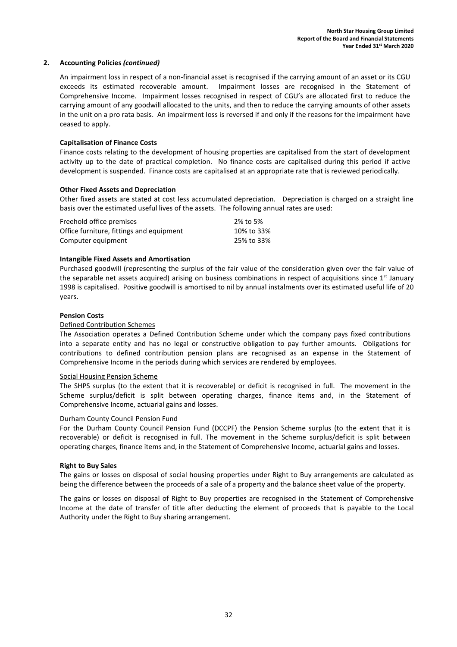An impairment loss in respect of a non-financial asset is recognised if the carrying amount of an asset or its CGU exceeds its estimated recoverable amount. Impairment losses are recognised in the Statement of Comprehensive Income. Impairment losses recognised in respect of CGU's are allocated first to reduce the carrying amount of any goodwill allocated to the units, and then to reduce the carrying amounts of other assets in the unit on a pro rata basis. An impairment loss is reversed if and only if the reasons for the impairment have ceased to apply.

### Capitalisation of Finance Costs

Finance costs relating to the development of housing properties are capitalised from the start of development activity up to the date of practical completion. No finance costs are capitalised during this period if active development is suspended. Finance costs are capitalised at an appropriate rate that is reviewed periodically.

#### Other Fixed Assets and Depreciation

Other fixed assets are stated at cost less accumulated depreciation. Depreciation is charged on a straight line basis over the estimated useful lives of the assets. The following annual rates are used:

| Freehold office premises                 | 2% to 5%   |
|------------------------------------------|------------|
| Office furniture, fittings and equipment | 10% to 33% |
| Computer equipment                       | 25% to 33% |

### Intangible Fixed Assets and Amortisation

Purchased goodwill (representing the surplus of the fair value of the consideration given over the fair value of the separable net assets acquired) arising on business combinations in respect of acquisitions since 1<sup>st</sup> January 1998 is capitalised. Positive goodwill is amortised to nil by annual instalments over its estimated useful life of 20 years.

#### Pension Costs

#### Defined Contribution Schemes

The Association operates a Defined Contribution Scheme under which the company pays fixed contributions into a separate entity and has no legal or constructive obligation to pay further amounts. Obligations for contributions to defined contribution pension plans are recognised as an expense in the Statement of Comprehensive Income in the periods during which services are rendered by employees.

#### Social Housing Pension Scheme

The SHPS surplus (to the extent that it is recoverable) or deficit is recognised in full. The movement in the Scheme surplus/deficit is split between operating charges, finance items and, in the Statement of Comprehensive Income, actuarial gains and losses.

#### Durham County Council Pension Fund

For the Durham County Council Pension Fund (DCCPF) the Pension Scheme surplus (to the extent that it is recoverable) or deficit is recognised in full. The movement in the Scheme surplus/deficit is split between operating charges, finance items and, in the Statement of Comprehensive Income, actuarial gains and losses.

#### Right to Buy Sales

The gains or losses on disposal of social housing properties under Right to Buy arrangements are calculated as being the difference between the proceeds of a sale of a property and the balance sheet value of the property.

The gains or losses on disposal of Right to Buy properties are recognised in the Statement of Comprehensive Income at the date of transfer of title after deducting the element of proceeds that is payable to the Local Authority under the Right to Buy sharing arrangement.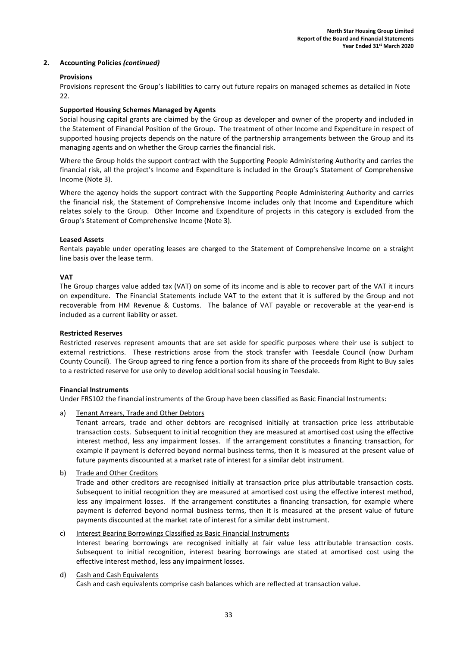#### Provisions

Provisions represent the Group's liabilities to carry out future repairs on managed schemes as detailed in Note 22.

### Supported Housing Schemes Managed by Agents

Social housing capital grants are claimed by the Group as developer and owner of the property and included in the Statement of Financial Position of the Group. The treatment of other Income and Expenditure in respect of supported housing projects depends on the nature of the partnership arrangements between the Group and its managing agents and on whether the Group carries the financial risk.

Where the Group holds the support contract with the Supporting People Administering Authority and carries the financial risk, all the project's Income and Expenditure is included in the Group's Statement of Comprehensive Income (Note 3).

Where the agency holds the support contract with the Supporting People Administering Authority and carries the financial risk, the Statement of Comprehensive Income includes only that Income and Expenditure which relates solely to the Group. Other Income and Expenditure of projects in this category is excluded from the Group's Statement of Comprehensive Income (Note 3).

#### Leased Assets

Rentals payable under operating leases are charged to the Statement of Comprehensive Income on a straight line basis over the lease term.

### **VAT**

The Group charges value added tax (VAT) on some of its income and is able to recover part of the VAT it incurs on expenditure. The Financial Statements include VAT to the extent that it is suffered by the Group and not recoverable from HM Revenue & Customs. The balance of VAT payable or recoverable at the year-end is included as a current liability or asset.

#### Restricted Reserves

Restricted reserves represent amounts that are set aside for specific purposes where their use is subject to external restrictions. These restrictions arose from the stock transfer with Teesdale Council (now Durham County Council). The Group agreed to ring fence a portion from its share of the proceeds from Right to Buy sales to a restricted reserve for use only to develop additional social housing in Teesdale.

# Financial Instruments

Under FRS102 the financial instruments of the Group have been classified as Basic Financial Instruments:

a) Tenant Arrears, Trade and Other Debtors

 Tenant arrears, trade and other debtors are recognised initially at transaction price less attributable transaction costs. Subsequent to initial recognition they are measured at amortised cost using the effective interest method, less any impairment losses. If the arrangement constitutes a financing transaction, for example if payment is deferred beyond normal business terms, then it is measured at the present value of future payments discounted at a market rate of interest for a similar debt instrument.

b) Trade and Other Creditors

 Trade and other creditors are recognised initially at transaction price plus attributable transaction costs. Subsequent to initial recognition they are measured at amortised cost using the effective interest method, less any impairment losses. If the arrangement constitutes a financing transaction, for example where payment is deferred beyond normal business terms, then it is measured at the present value of future payments discounted at the market rate of interest for a similar debt instrument.

#### c) Interest Bearing Borrowings Classified as Basic Financial Instruments

Interest bearing borrowings are recognised initially at fair value less attributable transaction costs. Subsequent to initial recognition, interest bearing borrowings are stated at amortised cost using the effective interest method, less any impairment losses.

# d) Cash and Cash Equivalents

Cash and cash equivalents comprise cash balances which are reflected at transaction value.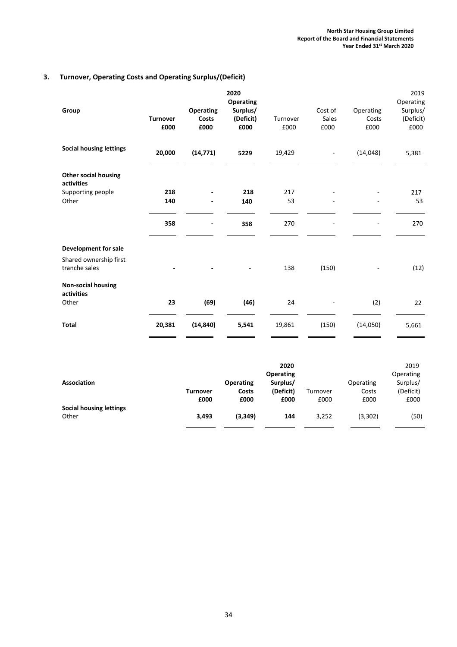# 3. Turnover, Operating Costs and Operating Surplus/(Deficit)

| Group                                     | <b>Turnover</b><br>£000 | <b>Operating</b><br><b>Costs</b><br>£000 | 2020<br><b>Operating</b><br>Surplus/<br>(Deficit)<br>£000 | Turnover<br>£000 | Cost of<br><b>Sales</b><br>£000 | Operating<br>Costs<br>£000 | 2019<br>Operating<br>Surplus/<br>(Deficit)<br>£000 |
|-------------------------------------------|-------------------------|------------------------------------------|-----------------------------------------------------------|------------------|---------------------------------|----------------------------|----------------------------------------------------|
| <b>Social housing lettings</b>            | 20,000                  | (14, 771)                                | 5229                                                      | 19,429           | $\overline{\phantom{a}}$        | (14, 048)                  | 5,381                                              |
| <b>Other social housing</b><br>activities |                         |                                          |                                                           |                  |                                 |                            |                                                    |
| Supporting people                         | 218                     |                                          | 218                                                       | 217              |                                 |                            | 217                                                |
| Other                                     | 140                     |                                          | 140                                                       | 53               |                                 |                            | 53                                                 |
|                                           | 358                     | $\overline{\phantom{0}}$                 | 358                                                       | 270              | ٠                               | $\overline{\phantom{a}}$   | 270                                                |
| Development for sale                      |                         |                                          |                                                           |                  |                                 |                            |                                                    |
| Shared ownership first<br>tranche sales   |                         |                                          |                                                           | 138              | (150)                           |                            | (12)                                               |
| <b>Non-social housing</b><br>activities   |                         |                                          |                                                           |                  |                                 |                            |                                                    |
| Other                                     | 23                      | (69)                                     | (46)                                                      | 24               |                                 | (2)                        | 22                                                 |
| <b>Total</b>                              | 20,381                  | (14, 840)                                | 5,541                                                     | 19,861           | (150)                           | (14,050)                   | 5,661                                              |

|                         |                 |                  | 2020<br><b>Operating</b> |          |           | 2019<br>Operating |
|-------------------------|-----------------|------------------|--------------------------|----------|-----------|-------------------|
| <b>Association</b>      |                 | <b>Operating</b> | Surplus/                 |          | Operating | Surplus/          |
|                         | <b>Turnover</b> | Costs            | (Deficit)                | Turnover | Costs     | (Deficit)         |
|                         | £000            | £000             | £000                     | £000     | £000      | £000              |
| Social housing lettings |                 |                  |                          |          |           |                   |
| Other                   | 3,493           | (3, 349)         | 144                      | 3,252    | (3, 302)  | (50)              |
|                         |                 |                  |                          |          |           |                   |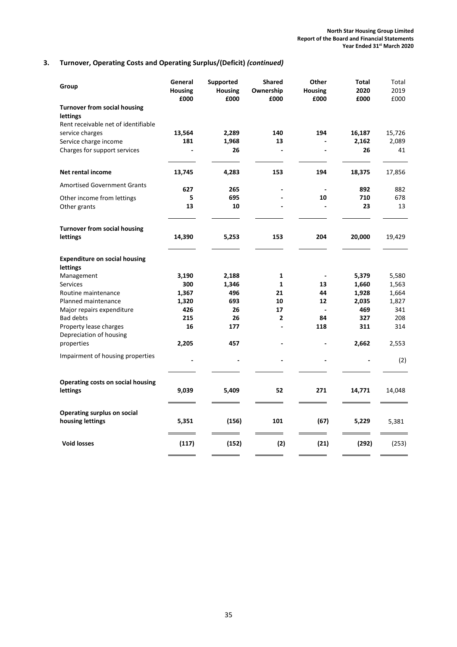# 3. Turnover, Operating Costs and Operating Surplus/(Deficit) (continued)

| Group                                           | General<br><b>Housing</b><br>£000 | Supported<br><b>Housing</b><br>£000 | <b>Shared</b><br>Ownership<br>£000 | Other<br><b>Housing</b><br>£000 | <b>Total</b><br>2020<br>£000 | Total<br>2019<br>£000 |
|-------------------------------------------------|-----------------------------------|-------------------------------------|------------------------------------|---------------------------------|------------------------------|-----------------------|
| <b>Turnover from social housing</b><br>lettings |                                   |                                     |                                    |                                 |                              |                       |
| Rent receivable net of identifiable             |                                   |                                     |                                    |                                 |                              |                       |
| service charges                                 | 13,564                            | 2,289                               | 140                                | 194                             | 16,187                       | 15,726                |
| Service charge income                           | 181                               | 1,968                               | 13                                 |                                 | 2,162                        | 2,089                 |
| Charges for support services                    |                                   | 26                                  | $\overline{\phantom{a}}$           | ä,                              | 26                           | 41                    |
| Net rental income                               | 13,745                            | 4,283                               | 153                                | 194                             | 18,375                       | 17,856                |
| <b>Amortised Government Grants</b>              | 627                               | 265                                 |                                    |                                 | 892                          | 882                   |
| Other income from lettings                      | 5                                 | 695                                 |                                    | 10                              | 710                          | 678                   |
| Other grants                                    | 13                                | 10                                  |                                    |                                 | 23                           | 13                    |
| <b>Turnover from social housing</b><br>lettings | 14,390                            | 5,253                               | 153                                | 204                             | 20,000                       | 19,429                |
|                                                 |                                   |                                     |                                    |                                 |                              |                       |
| <b>Expenditure on social housing</b>            |                                   |                                     |                                    |                                 |                              |                       |
| lettings                                        |                                   |                                     |                                    |                                 |                              |                       |
| Management                                      | 3,190                             | 2,188                               | 1                                  |                                 | 5,379                        | 5,580                 |
| <b>Services</b><br>Routine maintenance          | 300<br>1,367                      | 1,346<br>496                        | $\mathbf{1}$<br>21                 | 13<br>44                        | 1,660<br>1,928               | 1,563<br>1,664        |
| Planned maintenance                             | 1,320                             | 693                                 | 10                                 | 12                              | 2,035                        | 1,827                 |
| Major repairs expenditure                       | 426                               | 26                                  | 17                                 | ä,                              | 469                          | 341                   |
| <b>Bad debts</b>                                | 215                               | 26                                  | $\mathbf{2}$                       | 84                              | 327                          | 208                   |
| Property lease charges                          | 16                                | 177                                 |                                    | 118                             | 311                          | 314                   |
| Depreciation of housing                         |                                   |                                     |                                    |                                 |                              |                       |
| properties                                      | 2,205                             | 457                                 |                                    |                                 | 2,662                        | 2,553                 |
| Impairment of housing properties                |                                   |                                     |                                    |                                 |                              | (2)                   |
| <b>Operating costs on social housing</b>        |                                   |                                     |                                    |                                 |                              |                       |
| lettings                                        | 9,039                             | 5,409                               | 52                                 | 271                             | 14,771                       | 14,048                |
| <b>Operating surplus on social</b>              |                                   |                                     |                                    |                                 |                              |                       |
| housing lettings                                | 5,351                             | (156)                               | 101                                | (67)                            | 5,229                        | 5,381                 |
| <b>Void losses</b>                              | (117)                             | (152)                               | (2)                                | (21)                            | (292)                        | (253)                 |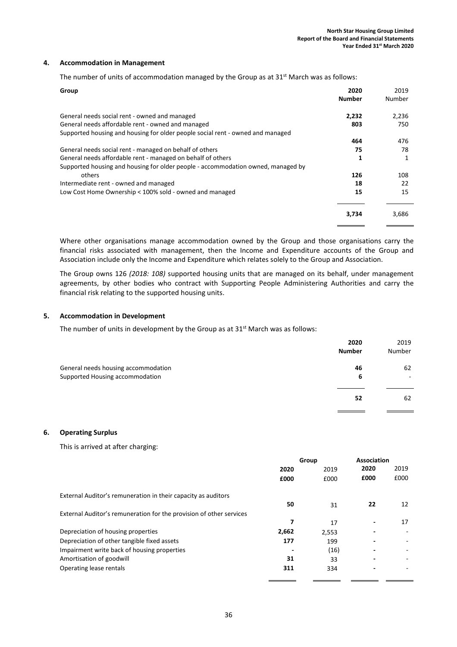#### 4. Accommodation in Management

The number of units of accommodation managed by the Group as at  $31<sup>st</sup>$  March was as follows:

| Group                                                                            | 2020<br><b>Number</b> | 2019<br>Number |
|----------------------------------------------------------------------------------|-----------------------|----------------|
| General needs social rent - owned and managed                                    | 2,232                 | 2,236          |
| General needs affordable rent - owned and managed                                | 803                   | 750            |
| Supported housing and housing for older people social rent - owned and managed   |                       |                |
|                                                                                  | 464                   | 476            |
| General needs social rent - managed on behalf of others                          | 75                    | 78             |
| General needs affordable rent - managed on behalf of others                      |                       | 1              |
| Supported housing and housing for older people - accommodation owned, managed by |                       |                |
| others                                                                           | 126                   | 108            |
| Intermediate rent - owned and managed                                            | 18                    | 22             |
| Low Cost Home Ownership < 100% sold - owned and managed                          | 15                    | 15             |
|                                                                                  | 3,734                 | 3,686          |

Where other organisations manage accommodation owned by the Group and those organisations carry the financial risks associated with management, then the Income and Expenditure accounts of the Group and Association include only the Income and Expenditure which relates solely to the Group and Association.

The Group owns 126 (2018: 108) supported housing units that are managed on its behalf, under management agreements, by other bodies who contract with Supporting People Administering Authorities and carry the financial risk relating to the supported housing units.

#### 5. Accommodation in Development

The number of units in development by the Group as at  $31<sup>st</sup>$  March was as follows:

|                                                                        | 2020<br><b>Number</b> | 2019<br>Number |
|------------------------------------------------------------------------|-----------------------|----------------|
| General needs housing accommodation<br>Supported Housing accommodation | 46<br>6               | 62             |
|                                                                        | 52                    | 62             |

#### 6. Operating Surplus

This is arrived at after charging:

|                                                                     |       | Group | Association |      |
|---------------------------------------------------------------------|-------|-------|-------------|------|
|                                                                     | 2020  | 2019  | 2020        | 2019 |
|                                                                     | £000  | £000  | £000        | £000 |
| External Auditor's remuneration in their capacity as auditors       |       |       |             |      |
|                                                                     | 50    | 31    | 22          | 12   |
| External Auditor's remuneration for the provision of other services |       |       |             |      |
|                                                                     | 7     | 17    |             | 17   |
| Depreciation of housing properties                                  | 2,662 | 2,553 |             |      |
| Depreciation of other tangible fixed assets                         | 177   | 199   |             |      |
| Impairment write back of housing properties                         |       | (16)  |             |      |
| Amortisation of goodwill                                            | 31    | 33    |             |      |
| Operating lease rentals                                             | 311   | 334   |             |      |
|                                                                     |       |       |             |      |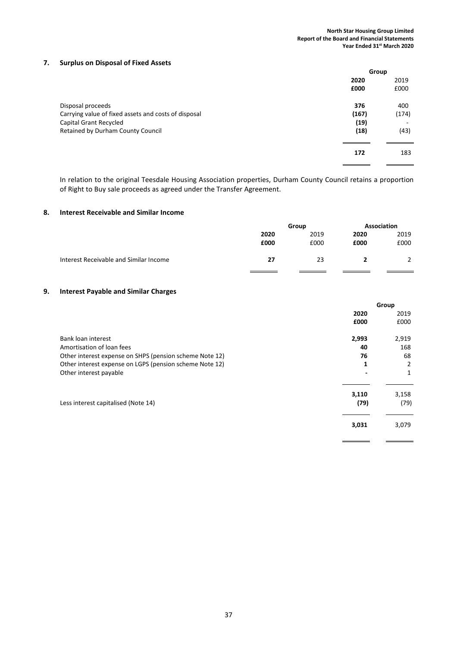## 7. Surplus on Disposal of Fixed Assets

|                                                      | Group |       |
|------------------------------------------------------|-------|-------|
|                                                      | 2020  | 2019  |
|                                                      | £000  | £000  |
| Disposal proceeds                                    | 376   | 400   |
| Carrying value of fixed assets and costs of disposal | (167) | (174) |
| Capital Grant Recycled                               | (19)  |       |
| Retained by Durham County Council                    | (18)  | (43)  |
|                                                      | 172   | 183   |

In relation to the original Teesdale Housing Association properties, Durham County Council retains a proportion of Right to Buy sale proceeds as agreed under the Transfer Agreement.

#### 8. Interest Receivable and Similar Income

|                                        |      | Group |      | Association |  |
|----------------------------------------|------|-------|------|-------------|--|
|                                        | 2020 | 2019  | 2020 | 2019        |  |
|                                        | £000 | £000  | £000 | £000        |  |
| Interest Receivable and Similar Income | 27   | 23    |      |             |  |
|                                        |      |       |      |             |  |

## 9. Interest Payable and Similar Charges

|                                                         |               | Group         |
|---------------------------------------------------------|---------------|---------------|
|                                                         | 2020          | 2019          |
|                                                         | £000          | £000          |
| Bank loan interest                                      | 2,993         | 2,919         |
| Amortisation of loan fees                               | 40            | 168           |
| Other interest expense on SHPS (pension scheme Note 12) | 76            | 68            |
| Other interest expense on LGPS (pension scheme Note 12) | 1             | 2             |
| Other interest payable                                  |               | 1             |
| Less interest capitalised (Note 14)                     | 3,110<br>(79) | 3,158<br>(79) |
|                                                         | 3,031         | 3,079         |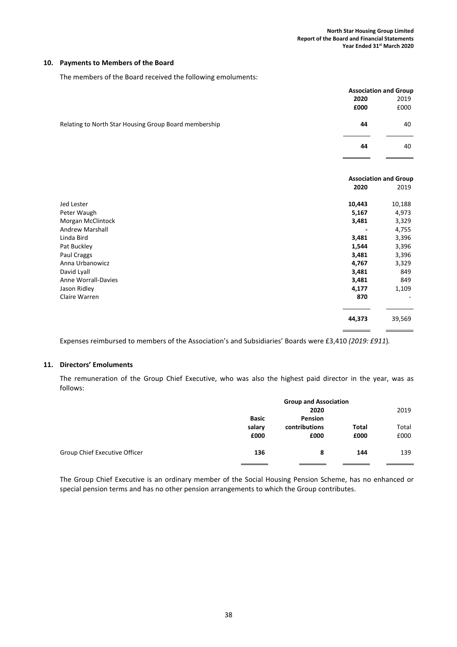#### 10. Payments to Members of the Board

The members of the Board received the following emoluments:

|                                                       |        | <b>Association and Group</b> |
|-------------------------------------------------------|--------|------------------------------|
|                                                       | 2020   | 2019                         |
|                                                       | £000   | £000                         |
| Relating to North Star Housing Group Board membership | 44     | 40                           |
|                                                       | 44     | 40                           |
|                                                       |        | <b>Association and Group</b> |
|                                                       | 2020   | 2019                         |
| Jed Lester                                            | 10,443 | 10,188                       |
| Peter Waugh                                           | 5,167  | 4,973                        |
| Morgan McClintock                                     | 3,481  | 3,329                        |
| Andrew Marshall                                       |        | 4,755                        |
| Linda Bird                                            | 3,481  | 3,396                        |
| Pat Buckley                                           | 1,544  | 3,396                        |

Paul Craggs 3,481 3,396 Anna Urbanowicz 4,767 3,329 David Lyall 3,481 849 Anne Worrall-Davies 3,481 849 Jason Ridley 4,177 1,109

# Claire Warren 870 -  $\overline{a}$ 44,373 39,569  $\overline{a}$

Expenses reimbursed to members of the Association's and Subsidiaries' Boards were £3,410 (2019: £911).

#### 11. Directors' Emoluments

The remuneration of the Group Chief Executive, who was also the highest paid director in the year, was as follows:

|                               | <b>Group and Association</b> |               |       |       |  |
|-------------------------------|------------------------------|---------------|-------|-------|--|
|                               | 2020                         |               |       | 2019  |  |
|                               | <b>Basic</b>                 | Pension       |       |       |  |
|                               | salary                       | contributions | Total | Total |  |
|                               | £000                         | £000          | £000  | £000  |  |
| Group Chief Executive Officer | 136                          | 8             | 144   | 139   |  |
|                               |                              |               |       |       |  |

The Group Chief Executive is an ordinary member of the Social Housing Pension Scheme, has no enhanced or special pension terms and has no other pension arrangements to which the Group contributes.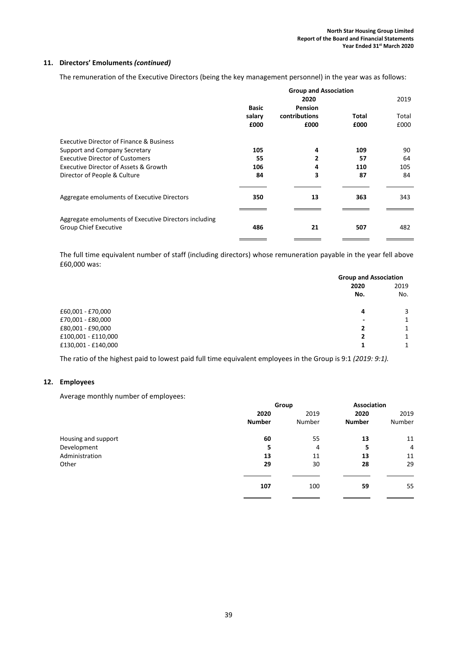# 11. Directors' Emoluments (continued)

The remuneration of the Executive Directors (being the key management personnel) in the year was as follows:

|                                                                                       | <b>Group and Association</b> |               |       |       |  |
|---------------------------------------------------------------------------------------|------------------------------|---------------|-------|-------|--|
|                                                                                       |                              | 2020          |       | 2019  |  |
|                                                                                       | <b>Basic</b>                 | Pension       |       |       |  |
|                                                                                       | salary                       | contributions | Total | Total |  |
|                                                                                       | £000                         | £000          | £000  | £000  |  |
| <b>Executive Director of Finance &amp; Business</b>                                   |                              |               |       |       |  |
| Support and Company Secretary                                                         | 105                          | 4             | 109   | 90    |  |
| <b>Executive Director of Customers</b>                                                | 55                           | 2             | 57    | 64    |  |
| Executive Director of Assets & Growth                                                 | 106                          | 4             | 110   | 105   |  |
| Director of People & Culture                                                          | 84                           | 3             | 87    | 84    |  |
| Aggregate emoluments of Executive Directors                                           | 350                          | 13            | 363   | 343   |  |
| Aggregate emoluments of Executive Directors including<br><b>Group Chief Executive</b> | 486                          | 21            | 507   | 482   |  |

The full time equivalent number of staff (including directors) whose remuneration payable in the year fell above £60,000 was:

| <b>Group and Association</b> |      |
|------------------------------|------|
| 2020                         | 2019 |
| No.                          | No.  |
| 4                            |      |
| $\overline{\phantom{a}}$     |      |
| 2                            |      |
| 2                            | 1    |
|                              | 1    |
|                              |      |

The ratio of the highest paid to lowest paid full time equivalent employees in the Group is 9:1 (2019: 9:1).

# 12. Employees

Average monthly number of employees:

|                     | Group         |        | Association   |                |
|---------------------|---------------|--------|---------------|----------------|
|                     | 2020          | 2019   | 2020          | 2019           |
|                     | <b>Number</b> | Number | <b>Number</b> | Number         |
| Housing and support | 60            | 55     | 13            | 11             |
| Development         | 5.            | 4      | 5             | $\overline{4}$ |
| Administration      | 13            | 11     | 13            | 11             |
| Other               | 29            | 30     | 28            | 29             |
|                     | 107           | 100    | 59            | 55             |
|                     |               |        |               |                |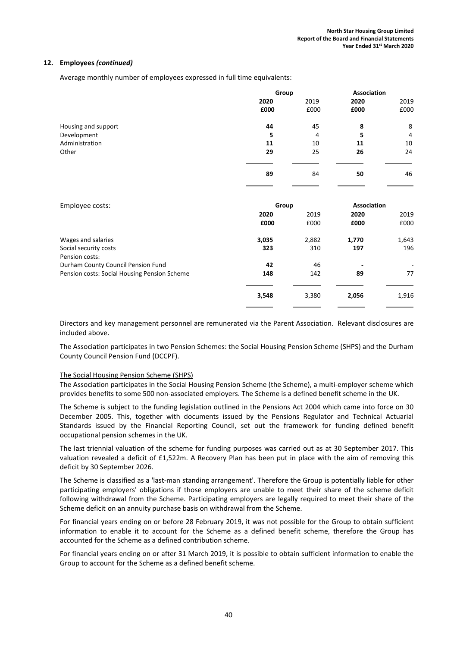Average monthly number of employees expressed in full time equivalents:

|                                              |       | Group          |             | Association    |
|----------------------------------------------|-------|----------------|-------------|----------------|
|                                              | 2020  | 2019           | 2020        | 2019           |
|                                              | £000  | £000           | £000        | £000           |
| Housing and support                          | 44    | 45             | 8           | 8              |
| Development                                  | 5     | $\overline{4}$ | 5           | $\overline{4}$ |
| Administration                               | 11    | 10             | 11          | 10             |
| Other                                        | 29    | 25             | 26          | 24             |
|                                              | 89    | 84             | 50          | 46             |
| Employee costs:                              | Group |                | Association |                |
|                                              | 2020  | 2019           | 2020        | 2019           |
|                                              | £000  | £000           | £000        | £000           |
| Wages and salaries                           | 3,035 | 2,882          | 1,770       | 1,643          |
| Social security costs<br>Pension costs:      | 323   | 310            | 197         | 196            |
| Durham County Council Pension Fund           | 42    | 46             |             |                |
| Pension costs: Social Housing Pension Scheme | 148   | 142            | 89          | 77             |
|                                              | 3,548 | 3,380          | 2,056       | 1,916          |
|                                              |       |                |             |                |

Directors and key management personnel are remunerated via the Parent Association. Relevant disclosures are included above.

The Association participates in two Pension Schemes: the Social Housing Pension Scheme (SHPS) and the Durham County Council Pension Fund (DCCPF).

#### The Social Housing Pension Scheme (SHPS)

The Association participates in the Social Housing Pension Scheme (the Scheme), a multi-employer scheme which provides benefits to some 500 non-associated employers. The Scheme is a defined benefit scheme in the UK.

The Scheme is subject to the funding legislation outlined in the Pensions Act 2004 which came into force on 30 December 2005. This, together with documents issued by the Pensions Regulator and Technical Actuarial Standards issued by the Financial Reporting Council, set out the framework for funding defined benefit occupational pension schemes in the UK.

The last triennial valuation of the scheme for funding purposes was carried out as at 30 September 2017. This valuation revealed a deficit of £1,522m. A Recovery Plan has been put in place with the aim of removing this deficit by 30 September 2026.

The Scheme is classified as a 'last-man standing arrangement'. Therefore the Group is potentially liable for other participating employers' obligations if those employers are unable to meet their share of the scheme deficit following withdrawal from the Scheme. Participating employers are legally required to meet their share of the Scheme deficit on an annuity purchase basis on withdrawal from the Scheme.

For financial years ending on or before 28 February 2019, it was not possible for the Group to obtain sufficient information to enable it to account for the Scheme as a defined benefit scheme, therefore the Group has accounted for the Scheme as a defined contribution scheme.

For financial years ending on or after 31 March 2019, it is possible to obtain sufficient information to enable the Group to account for the Scheme as a defined benefit scheme.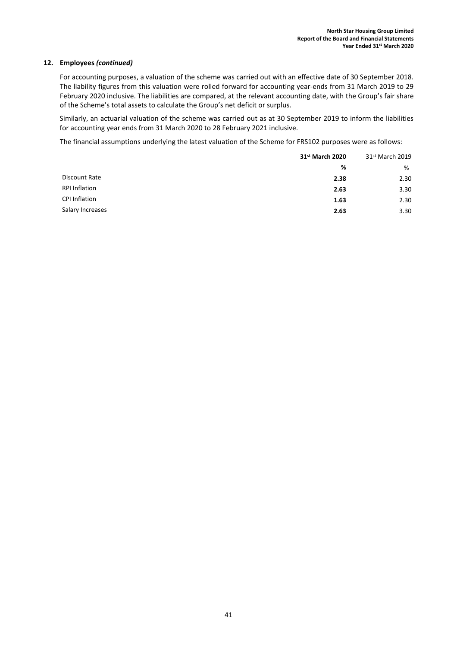For accounting purposes, a valuation of the scheme was carried out with an effective date of 30 September 2018. The liability figures from this valuation were rolled forward for accounting year-ends from 31 March 2019 to 29 February 2020 inclusive. The liabilities are compared, at the relevant accounting date, with the Group's fair share of the Scheme's total assets to calculate the Group's net deficit or surplus.

Similarly, an actuarial valuation of the scheme was carried out as at 30 September 2019 to inform the liabilities for accounting year ends from 31 March 2020 to 28 February 2021 inclusive.

The financial assumptions underlying the latest valuation of the Scheme for FRS102 purposes were as follows:

|                      | 31 <sup>st</sup> March 2020 |      |
|----------------------|-----------------------------|------|
|                      | %                           | %    |
| Discount Rate        | 2.38                        | 2.30 |
| <b>RPI Inflation</b> | 2.63                        | 3.30 |
| CPI Inflation        | 1.63                        | 2.30 |
| Salary Increases     | 2.63                        | 3.30 |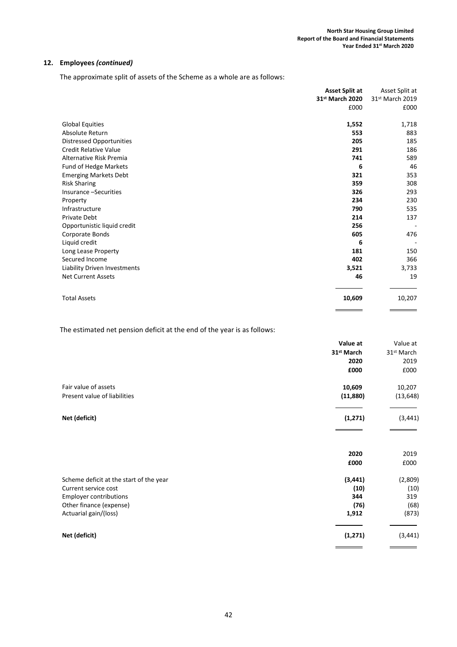The approximate split of assets of the Scheme as a whole are as follows:

|                                 | <b>Asset Split at</b><br>31 <sup>st</sup> March 2020 | Asset Split at<br>31st March 2019 |
|---------------------------------|------------------------------------------------------|-----------------------------------|
|                                 | £000                                                 | £000                              |
| <b>Global Equities</b>          | 1,552                                                | 1,718                             |
| Absolute Return                 | 553                                                  | 883                               |
| <b>Distressed Opportunities</b> | 205                                                  | 185                               |
| <b>Credit Relative Value</b>    | 291                                                  | 186                               |
| Alternative Risk Premia         | 741                                                  | 589                               |
| Fund of Hedge Markets           | 6                                                    | 46                                |
| <b>Emerging Markets Debt</b>    | 321                                                  | 353                               |
| <b>Risk Sharing</b>             | 359                                                  | 308                               |
| Insurance -Securities           | 326                                                  | 293                               |
| Property                        | 234                                                  | 230                               |
| Infrastructure                  | 790                                                  | 535                               |
| <b>Private Debt</b>             | 214                                                  | 137                               |
| Opportunistic liquid credit     | 256                                                  |                                   |
| Corporate Bonds                 | 605                                                  | 476                               |
| Liquid credit                   | 6                                                    |                                   |
| Long Lease Property             | 181                                                  | 150                               |
| Secured Income                  | 402                                                  | 366                               |
| Liability Driven Investments    | 3,521                                                | 3,733                             |
| <b>Net Current Assets</b>       | 46                                                   | 19                                |
| <b>Total Assets</b>             | 10,609                                               | 10,207                            |

The estimated net pension deficit at the end of the year is as follows:

|                                         | Value at               | Value at               |
|-----------------------------------------|------------------------|------------------------|
|                                         | 31 <sup>st</sup> March | 31 <sup>st</sup> March |
|                                         | 2020                   | 2019                   |
|                                         | £000                   | £000                   |
| Fair value of assets                    | 10,609                 | 10,207                 |
| Present value of liabilities            | (11,880)               | (13, 648)              |
| Net (deficit)                           | (1, 271)               | (3, 441)               |
|                                         | 2020                   | 2019                   |
|                                         | £000                   | £000                   |
| Scheme deficit at the start of the year | (3, 441)               | (2,809)                |
| Current service cost                    | (10)                   | (10)                   |
| <b>Employer contributions</b>           | 344                    | 319                    |
| Other finance (expense)                 | (76)                   | (68)                   |
| Actuarial gain/(loss)                   | 1,912                  | (873)                  |
| Net (deficit)                           | (1, 271)               | (3, 441)               |
|                                         |                        |                        |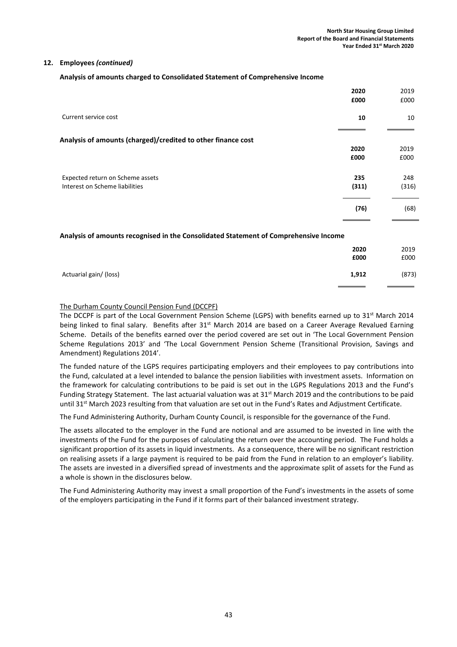$\overline{a}$ 

# 12. Employees (continued)

Analysis of amounts charged to Consolidated Statement of Comprehensive Income

|                                                                                      | 2020  | 2019  |
|--------------------------------------------------------------------------------------|-------|-------|
|                                                                                      | £000  | £000  |
| Current service cost                                                                 | 10    | 10    |
| Analysis of amounts (charged)/credited to other finance cost                         |       |       |
|                                                                                      | 2020  | 2019  |
|                                                                                      | £000  | £000  |
|                                                                                      |       |       |
| Expected return on Scheme assets                                                     | 235   | 248   |
| Interest on Scheme liabilities                                                       | (311) | (316) |
|                                                                                      | (76)  | (68)  |
|                                                                                      |       |       |
| Analysis of amounts recognised in the Consolidated Statement of Comprehensive Income |       |       |
|                                                                                      | 2020  | 2019  |
|                                                                                      | £000  | £000  |
| Actuarial gain/ (loss)                                                               | 1,912 | (873) |

# The Durham County Council Pension Fund (DCCPF)

The DCCPF is part of the Local Government Pension Scheme (LGPS) with benefits earned up to 31<sup>st</sup> March 2014 being linked to final salary. Benefits after  $31<sup>st</sup>$  March 2014 are based on a Career Average Revalued Earning Scheme. Details of the benefits earned over the period covered are set out in 'The Local Government Pension Scheme Regulations 2013' and 'The Local Government Pension Scheme (Transitional Provision, Savings and Amendment) Regulations 2014'.

The funded nature of the LGPS requires participating employers and their employees to pay contributions into the Fund, calculated at a level intended to balance the pension liabilities with investment assets. Information on the framework for calculating contributions to be paid is set out in the LGPS Regulations 2013 and the Fund's Funding Strategy Statement. The last actuarial valuation was at  $31<sup>st</sup>$  March 2019 and the contributions to be paid until 31<sup>st</sup> March 2023 resulting from that valuation are set out in the Fund's Rates and Adjustment Certificate.

The Fund Administering Authority, Durham County Council, is responsible for the governance of the Fund.

The assets allocated to the employer in the Fund are notional and are assumed to be invested in line with the investments of the Fund for the purposes of calculating the return over the accounting period. The Fund holds a significant proportion of its assets in liquid investments. As a consequence, there will be no significant restriction on realising assets if a large payment is required to be paid from the Fund in relation to an employer's liability. The assets are invested in a diversified spread of investments and the approximate split of assets for the Fund as a whole is shown in the disclosures below.

The Fund Administering Authority may invest a small proportion of the Fund's investments in the assets of some of the employers participating in the Fund if it forms part of their balanced investment strategy.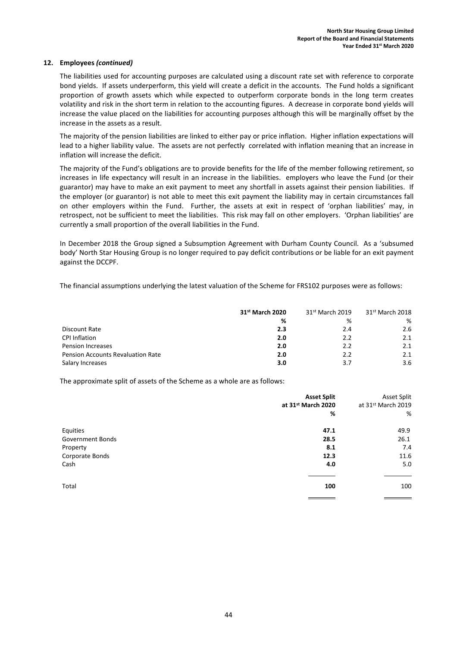The liabilities used for accounting purposes are calculated using a discount rate set with reference to corporate bond yields. If assets underperform, this yield will create a deficit in the accounts. The Fund holds a significant proportion of growth assets which while expected to outperform corporate bonds in the long term creates volatility and risk in the short term in relation to the accounting figures. A decrease in corporate bond yields will increase the value placed on the liabilities for accounting purposes although this will be marginally offset by the increase in the assets as a result.

The majority of the pension liabilities are linked to either pay or price inflation. Higher inflation expectations will lead to a higher liability value. The assets are not perfectly correlated with inflation meaning that an increase in inflation will increase the deficit.

The majority of the Fund's obligations are to provide benefits for the life of the member following retirement, so increases in life expectancy will result in an increase in the liabilities. employers who leave the Fund (or their guarantor) may have to make an exit payment to meet any shortfall in assets against their pension liabilities. If the employer (or guarantor) is not able to meet this exit payment the liability may in certain circumstances fall on other employers within the Fund. Further, the assets at exit in respect of 'orphan liabilities' may, in retrospect, not be sufficient to meet the liabilities. This risk may fall on other employers. 'Orphan liabilities' are currently a small proportion of the overall liabilities in the Fund.

In December 2018 the Group signed a Subsumption Agreement with Durham County Council. As a 'subsumed body' North Star Housing Group is no longer required to pay deficit contributions or be liable for an exit payment against the DCCPF.

The financial assumptions underlying the latest valuation of the Scheme for FRS102 purposes were as follows:

|                                          | 31 <sup>st</sup> March 2020 | 31 <sup>st</sup> March 2019 | 31 <sup>st</sup> March 2018 |
|------------------------------------------|-----------------------------|-----------------------------|-----------------------------|
|                                          | %                           | %                           | %                           |
| Discount Rate                            | 2.3                         | 2.4                         | 2.6                         |
| <b>CPI Inflation</b>                     | 2.0                         | 2.2                         | 2.1                         |
| <b>Pension Increases</b>                 | 2.0                         | 2.2                         | 2.1                         |
| <b>Pension Accounts Revaluation Rate</b> | 2.0                         | 2.2                         | 2.1                         |
| Salary Increases                         | 3.0                         | 3.7                         | 3.6                         |

The approximate split of assets of the Scheme as a whole are as follows:

|                         | <b>Asset Split</b> | Asset Split        |
|-------------------------|--------------------|--------------------|
|                         | at 31st March 2020 | at 31st March 2019 |
|                         | %                  | %                  |
| Equities                | 47.1               | 49.9               |
| <b>Government Bonds</b> | 28.5               | 26.1               |
| Property                | 8.1                | 7.4                |
| Corporate Bonds         | 12.3               | 11.6               |
| Cash                    | 4.0                | 5.0                |
|                         |                    |                    |
| Total                   | 100                | 100                |
|                         |                    |                    |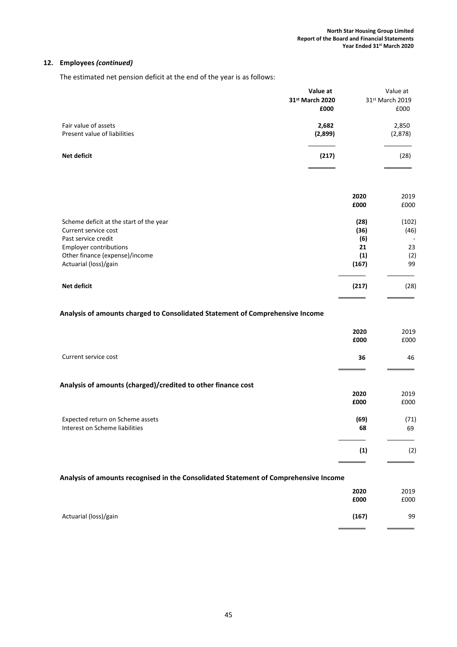The estimated net pension deficit at the end of the year is as follows:

| Value at<br>31st March 2020<br>£000                                           |              | Value at<br>31st March 2019<br>£000 |
|-------------------------------------------------------------------------------|--------------|-------------------------------------|
| Fair value of assets<br>2,682<br>Present value of liabilities<br>(2,899)      |              | 2,850<br>(2,878)                    |
| Net deficit<br>(217)                                                          |              | (28)                                |
|                                                                               | 2020         | 2019                                |
|                                                                               | £000         | £000                                |
| Scheme deficit at the start of the year<br>Current service cost               | (28)<br>(36) | (102)<br>(46)                       |
| Past service credit                                                           | (6)          |                                     |
| <b>Employer contributions</b><br>Other finance (expense)/income               | 21<br>(1)    | 23<br>(2)                           |
| Actuarial (loss)/gain                                                         | (167)        | 99                                  |
| Net deficit                                                                   | (217)        | (28)                                |
| Analysis of amounts charged to Consolidated Statement of Comprehensive Income |              |                                     |
|                                                                               | 2020<br>£000 | 2019<br>£000                        |
|                                                                               |              |                                     |
| Current service cost                                                          | 36           | 46                                  |
| Analysis of amounts (charged)/credited to other finance cost                  |              |                                     |
|                                                                               | 2020         | 2019                                |
|                                                                               | £000         | £000                                |
| Expected return on Scheme assets                                              | (69)         | (71)                                |
| Interest on Scheme liabilities                                                | 68           | 69                                  |
|                                                                               | (1)          | (2)                                 |

## Analysis of amounts recognised in the Consolidated Statement of Comprehensive Income

|                       | 2020<br>£000 | 2019<br>£000 |
|-----------------------|--------------|--------------|
| Actuarial (loss)/gain | (167)        | 99           |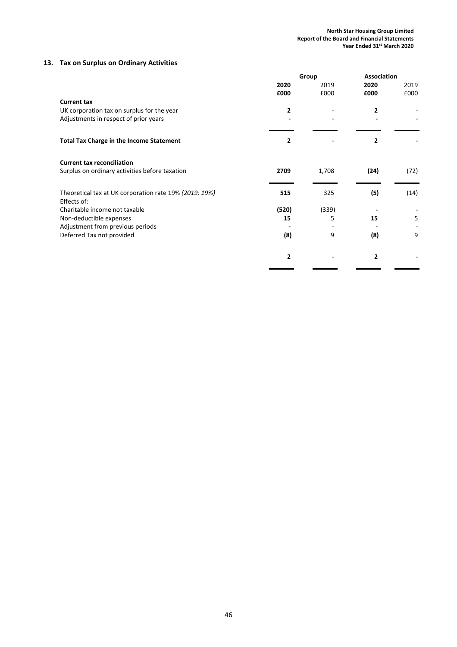# 13. Tax on Surplus on Ordinary Activities

|                                                        |                | Group        | <b>Association</b> |              |
|--------------------------------------------------------|----------------|--------------|--------------------|--------------|
|                                                        | 2020<br>£000   | 2019<br>£000 | 2020<br>£000       | 2019<br>£000 |
| <b>Current tax</b>                                     |                |              |                    |              |
| UK corporation tax on surplus for the year             | $\mathbf{2}$   |              | 2                  |              |
| Adjustments in respect of prior years                  |                |              |                    |              |
| <b>Total Tax Charge in the Income Statement</b>        | $\overline{2}$ |              | $\mathbf{2}$       |              |
| <b>Current tax reconciliation</b>                      |                |              |                    |              |
| Surplus on ordinary activities before taxation         | 2709           | 1,708        | (24)               | (72)         |
| Theoretical tax at UK corporation rate 19% (2019: 19%) | 515            | 325          | (5)                | (14)         |
| Effects of:                                            |                |              |                    |              |
| Charitable income not taxable                          | (520)          | (339)        |                    |              |
| Non-deductible expenses                                | 15             | 5            | 15                 | 5            |
| Adjustment from previous periods                       |                |              |                    |              |
| Deferred Tax not provided                              | (8)            | 9            | (8)                | 9            |
|                                                        | $\overline{2}$ |              | $\overline{2}$     |              |
|                                                        |                |              |                    |              |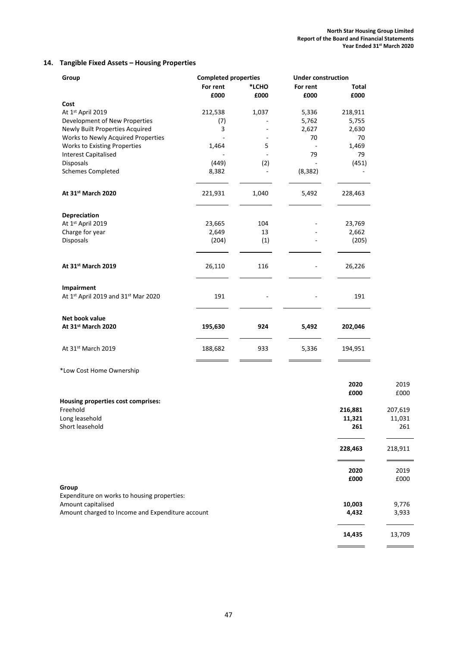$\overline{\phantom{0}}$ 

## 14. Tangible Fixed Assets – Housing Properties

| Group                                            | <b>Completed properties</b> |       | <b>Under construction</b> |              |         |  |  |
|--------------------------------------------------|-----------------------------|-------|---------------------------|--------------|---------|--|--|
|                                                  | For rent                    | *LCHO | For rent                  | <b>Total</b> |         |  |  |
|                                                  | £000                        | £000  | £000                      | £000         |         |  |  |
| Cost                                             |                             |       |                           |              |         |  |  |
| At 1st April 2019                                | 212,538                     | 1,037 | 5,336                     | 218,911      |         |  |  |
| Development of New Properties                    | (7)                         |       | 5,762                     | 5,755        |         |  |  |
| Newly Built Properties Acquired                  | 3                           |       | 2,627                     | 2,630        |         |  |  |
| Works to Newly Acquired Properties               |                             |       | 70                        | 70           |         |  |  |
| Works to Existing Properties                     | 1,464                       | 5     |                           | 1,469        |         |  |  |
| <b>Interest Capitalised</b>                      |                             |       | 79                        | 79           |         |  |  |
| Disposals                                        | (449)                       | (2)   |                           | (451)        |         |  |  |
| <b>Schemes Completed</b>                         | 8,382                       |       | (8, 382)                  |              |         |  |  |
| At 31st March 2020                               | 221,931                     | 1,040 | 5,492                     | 228,463      |         |  |  |
| Depreciation                                     |                             |       |                           |              |         |  |  |
| At 1st April 2019                                | 23,665                      | 104   |                           | 23,769       |         |  |  |
| Charge for year                                  | 2,649                       | 13    |                           | 2,662        |         |  |  |
| Disposals                                        | (204)                       | (1)   |                           | (205)        |         |  |  |
| At 31st March 2019                               | 26,110                      | 116   |                           | 26,226       |         |  |  |
| Impairment                                       |                             |       |                           |              |         |  |  |
| At 1st April 2019 and 31st Mar 2020              | 191                         |       |                           | 191          |         |  |  |
| Net book value                                   |                             |       |                           |              |         |  |  |
| At 31st March 2020                               | 195,630                     | 924   | 5,492                     | 202,046      |         |  |  |
| At 31st March 2019                               | 188,682                     | 933   | 5,336                     | 194,951      |         |  |  |
| *Low Cost Home Ownership                         |                             |       |                           |              |         |  |  |
|                                                  |                             |       |                           | 2020         | 2019    |  |  |
|                                                  |                             |       |                           | £000         | £000    |  |  |
| Housing properties cost comprises:               |                             |       |                           |              |         |  |  |
| Freehold                                         |                             |       |                           | 216,881      | 207,619 |  |  |
| Long leasehold                                   |                             |       |                           | 11,321       | 11,031  |  |  |
| Short leasehold                                  |                             |       |                           | 261          | 261     |  |  |
|                                                  |                             |       |                           | 228,463      | 218,911 |  |  |
|                                                  |                             |       |                           | 2020         | 2019    |  |  |
| Group                                            |                             |       |                           | £000         | £000    |  |  |
| Expenditure on works to housing properties:      |                             |       |                           |              |         |  |  |
| Amount capitalised                               |                             |       |                           | 10,003       | 9,776   |  |  |
| Amount charged to Income and Expenditure account |                             |       |                           | 4,432        | 3,933   |  |  |
|                                                  |                             |       |                           | 14,435       | 13,709  |  |  |
|                                                  |                             |       |                           |              |         |  |  |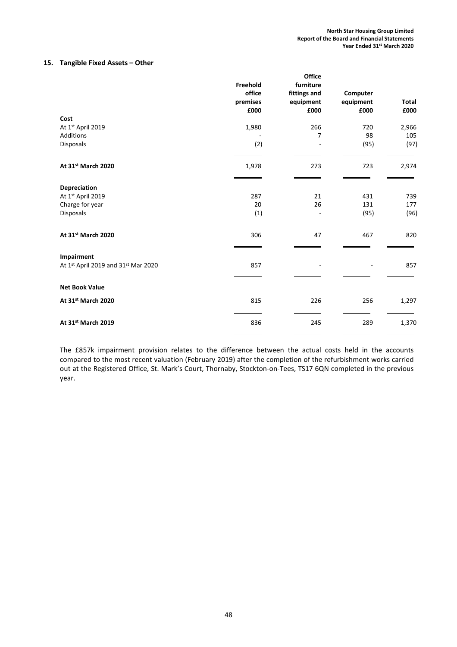# 15. Tangible Fixed Assets – Other

|                                     |          | <b>Office</b> |           |              |
|-------------------------------------|----------|---------------|-----------|--------------|
|                                     | Freehold | furniture     |           |              |
|                                     | office   | fittings and  | Computer  |              |
|                                     | premises | equipment     | equipment | <b>Total</b> |
|                                     | £000     | £000          | £000      | £000         |
| Cost                                |          |               |           |              |
| At 1st April 2019                   | 1,980    | 266           | 720       | 2,966        |
| Additions                           |          | 7             | 98        | 105          |
| Disposals                           | (2)      |               | (95)      | (97)         |
|                                     |          |               |           |              |
|                                     |          |               |           |              |
| At 31st March 2020                  | 1,978    | 273           | 723       | 2,974        |
|                                     |          |               |           |              |
|                                     |          |               |           |              |
| Depreciation                        |          |               |           |              |
| At 1st April 2019                   | 287      | 21            | 431       | 739          |
| Charge for year                     | 20       | 26            | 131       | 177          |
| Disposals                           | (1)      |               | (95)      | (96)         |
|                                     |          |               |           |              |
|                                     |          |               |           |              |
| At 31st March 2020                  | 306      | 47            | 467       | 820          |
|                                     |          |               |           |              |
| Impairment                          |          |               |           |              |
| At 1st April 2019 and 31st Mar 2020 | 857      |               |           | 857          |
|                                     |          |               |           |              |
|                                     |          |               |           |              |
| <b>Net Book Value</b>               |          |               |           |              |
| At 31st March 2020                  | 815      | 226           | 256       | 1,297        |
|                                     |          |               |           |              |
|                                     |          |               |           |              |
| At 31st March 2019                  | 836      | 245           | 289       | 1,370        |
|                                     |          |               |           |              |

The £857k impairment provision relates to the difference between the actual costs held in the accounts compared to the most recent valuation (February 2019) after the completion of the refurbishment works carried out at the Registered Office, St. Mark's Court, Thornaby, Stockton-on-Tees, TS17 6QN completed in the previous year.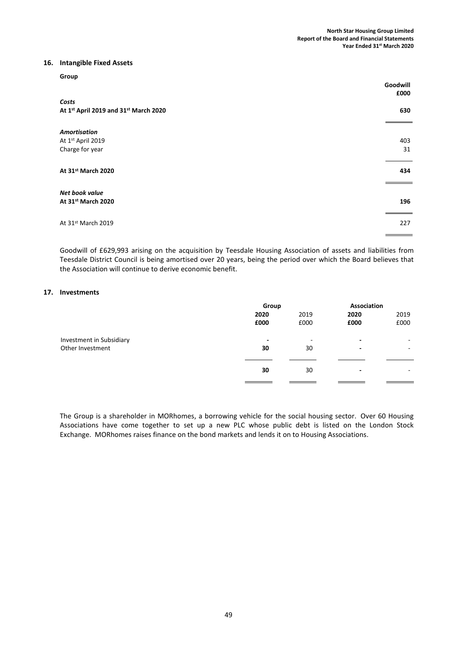#### 16. Intangible Fixed Assets

| Group                                                       | Goodwill<br>£000 |
|-------------------------------------------------------------|------------------|
| Costs<br>At 1st April 2019 and 31st March 2020              | 630              |
| <b>Amortisation</b><br>At 1st April 2019<br>Charge for year | 403<br>31        |
| At 31st March 2020                                          | 434              |
| Net book value<br>At 31st March 2020                        | 196              |
| At 31st March 2019                                          | 227              |

Goodwill of £629,993 arising on the acquisition by Teesdale Housing Association of assets and liabilities from Teesdale District Council is being amortised over 20 years, being the period over which the Board believes that the Association will continue to derive economic benefit.

#### 17. Investments

|                          | Group                    |      | Association              |                          |
|--------------------------|--------------------------|------|--------------------------|--------------------------|
|                          | 2020                     | 2019 | 2020                     | 2019                     |
|                          | £000                     | £000 | £000                     | £000                     |
|                          |                          |      |                          |                          |
| Investment in Subsidiary | $\overline{\phantom{0}}$ | ٠    | $\blacksquare$           | $\overline{\phantom{a}}$ |
| Other Investment         | 30                       | 30   | $\overline{\phantom{a}}$ | ۰                        |
|                          |                          |      |                          |                          |
|                          | 30                       | 30   | $\overline{\phantom{a}}$ |                          |
|                          |                          |      |                          |                          |

The Group is a shareholder in MORhomes, a borrowing vehicle for the social housing sector. Over 60 Housing Associations have come together to set up a new PLC whose public debt is listed on the London Stock Exchange. MORhomes raises finance on the bond markets and lends it on to Housing Associations.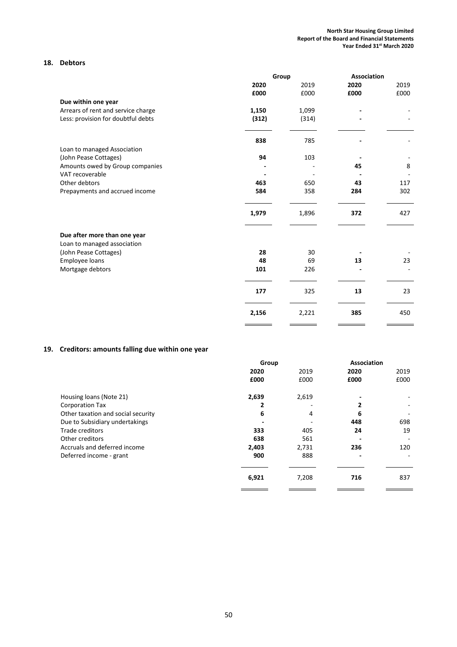# 18. Debtors

|                                    |          | Group    | Association |      |
|------------------------------------|----------|----------|-------------|------|
|                                    | 2020     | 2019     | 2020        | 2019 |
|                                    | £000     | £000     | £000        | £000 |
| Due within one year                |          |          |             |      |
| Arrears of rent and service charge | 1,150    | 1,099    |             |      |
| Less: provision for doubtful debts | (312)    | (314)    |             |      |
|                                    | 838      | 785      |             |      |
| Loan to managed Association        |          |          |             |      |
| (John Pease Cottages)              | 94       | 103      |             |      |
| Amounts owed by Group companies    |          |          | 45          | 8    |
| VAT recoverable                    |          |          |             |      |
| Other debtors                      | 463      | 650      | 43          | 117  |
| Prepayments and accrued income     | 584      | 358      | 284         | 302  |
|                                    | 1,979    | 1,896    | 372         | 427  |
| Due after more than one year       |          |          |             |      |
| Loan to managed association        |          |          |             |      |
| (John Pease Cottages)              | 28<br>48 | 30<br>69 | 13          | 23   |
| Employee loans                     | 101      | 226      |             |      |
| Mortgage debtors                   |          |          |             |      |
|                                    | 177      | 325      | 13          | 23   |
|                                    | 2,156    | 2,221    | 385         | 450  |
|                                    |          |          |             |      |

# 19. Creditors: amounts falling due within one year

|                                    | Group |       | Association |      |
|------------------------------------|-------|-------|-------------|------|
|                                    | 2020  | 2019  | 2020        | 2019 |
|                                    | £000  | £000  | £000        | £000 |
| Housing loans (Note 21)            | 2,639 | 2,619 |             |      |
| <b>Corporation Tax</b>             | 2     |       |             |      |
| Other taxation and social security | 6     | 4     | 6           |      |
| Due to Subsidiary undertakings     |       |       | 448         | 698  |
| Trade creditors                    | 333   | 405   | 24          | 19   |
| Other creditors                    | 638   | 561   |             |      |
| Accruals and deferred income       | 2,403 | 2,731 | 236         | 120  |
| Deferred income - grant            | 900   | 888   |             |      |
|                                    | 6,921 | 7,208 | 716         | 837  |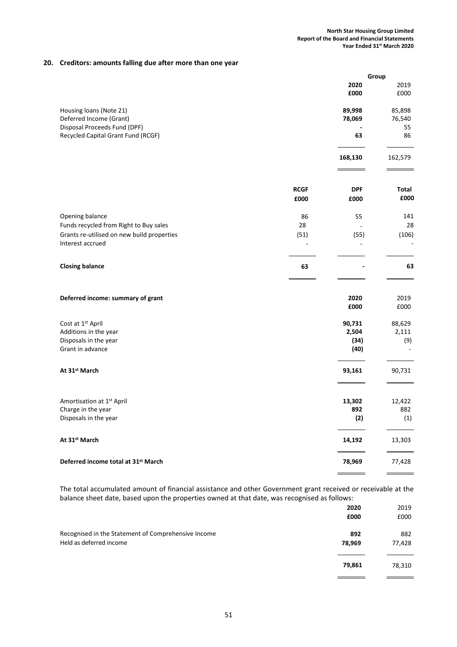## 20. Creditors: amounts falling due after more than one year

|                                            |             |            | Group   |
|--------------------------------------------|-------------|------------|---------|
|                                            |             | 2020       | 2019    |
|                                            |             | £000       | £000    |
| Housing loans (Note 21)                    |             | 89,998     | 85,898  |
| Deferred Income (Grant)                    |             | 78,069     | 76,540  |
| Disposal Proceeds Fund (DPF)               |             |            | 55      |
| Recycled Capital Grant Fund (RCGF)         |             | 63         | 86      |
|                                            |             | 168,130    | 162,579 |
|                                            |             |            |         |
|                                            | <b>RCGF</b> | <b>DPF</b> | Total   |
|                                            | £000        | £000       | £000    |
| Opening balance                            | 86          | 55         | 141     |
| Funds recycled from Right to Buy sales     | 28          |            | 28      |
| Grants re-utilised on new build properties | (51)        | (55)       | (106)   |
| Interest accrued                           |             |            |         |
| <b>Closing balance</b>                     | 63          |            | 63      |
| Deferred income: summary of grant          |             | 2020       | 2019    |
|                                            |             | £000       | £000    |
| Cost at 1st April                          |             | 90,731     | 88,629  |
| Additions in the year                      |             | 2,504      | 2,111   |
| Disposals in the year                      |             | (34)       | (9)     |
| Grant in advance                           |             | (40)       |         |
| At 31 <sup>st</sup> March                  |             | 93,161     | 90,731  |
|                                            |             |            |         |
| Amortisation at 1st April                  |             | 13,302     | 12,422  |
| Charge in the year                         |             | 892        | 882     |
| Disposals in the year                      |             | (2)        | (1)     |
| At 31 <sup>st</sup> March                  |             | 14,192     | 13,303  |
| Deferred income total at 31st March        |             | 78,969     | 77,428  |
|                                            |             |            |         |

The total accumulated amount of financial assistance and other Government grant received or receivable at the balance sheet date, based upon the properties owned at that date, was recognised as follows:

|                                                                                | 2020<br>£000  | 2019<br>£000  |
|--------------------------------------------------------------------------------|---------------|---------------|
| Recognised in the Statement of Comprehensive Income<br>Held as deferred income | 892<br>78,969 | 882<br>77,428 |
|                                                                                | 79,861        | 78,310        |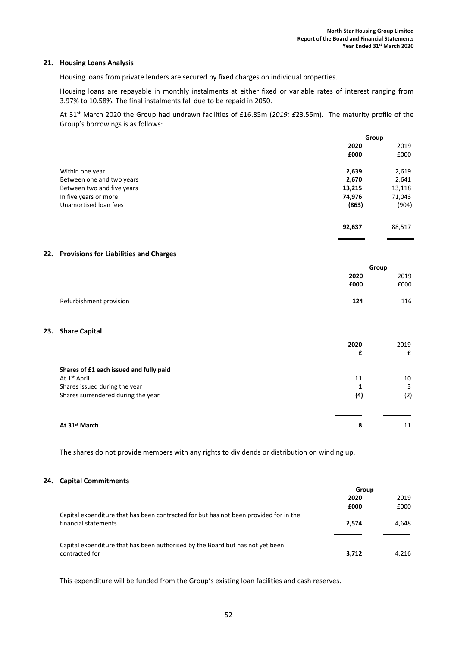#### 21. Housing Loans Analysis

Housing loans from private lenders are secured by fixed charges on individual properties.

Housing loans are repayable in monthly instalments at either fixed or variable rates of interest ranging from 3.97% to 10.58%. The final instalments fall due to be repaid in 2050.

At 31<sup>st</sup> March 2020 the Group had undrawn facilities of £16.85m (2019: £23.55m). The maturity profile of the Group's borrowings is as follows:

|                            | Group  |        |
|----------------------------|--------|--------|
|                            | 2020   | 2019   |
|                            | £000   | £000   |
| Within one year            | 2,639  | 2,619  |
| Between one and two years  | 2,670  | 2,641  |
| Between two and five years | 13,215 | 13,118 |
| In five years or more      | 74,976 | 71,043 |
| Unamortised Ioan fees      | (863)  | (904)  |
|                            | 92,637 | 88,517 |

#### 22. Provisions for Liabilities and Charges

|                         |      | Group |  |
|-------------------------|------|-------|--|
|                         | 2020 | 2019  |  |
|                         | £000 | £000  |  |
| Refurbishment provision | 124  | 116   |  |

#### 23. Share Capital

|                                         | 2020<br>£ | 2019<br>£ |
|-----------------------------------------|-----------|-----------|
| Shares of £1 each issued and fully paid |           |           |
| At 1 <sup>st</sup> April                | 11        | 10        |
| Shares issued during the year           |           | 3         |
| Shares surrendered during the year      | (4)       | (2)       |
|                                         |           |           |
| At 31 <sup>st</sup> March               | 8         | 11        |
|                                         |           |           |

The shares do not provide members with any rights to dividends or distribution on winding up.

#### 24. Capital Commitments

|                                                                                       | Group |       |
|---------------------------------------------------------------------------------------|-------|-------|
|                                                                                       | 2020  | 2019  |
|                                                                                       | £000  | £000  |
| Capital expenditure that has been contracted for but has not been provided for in the |       |       |
| financial statements                                                                  | 2,574 | 4,648 |
|                                                                                       |       |       |
| Capital expenditure that has been authorised by the Board but has not yet been        |       |       |
| contracted for                                                                        | 3,712 | 4.216 |
|                                                                                       |       |       |

This expenditure will be funded from the Group's existing loan facilities and cash reserves.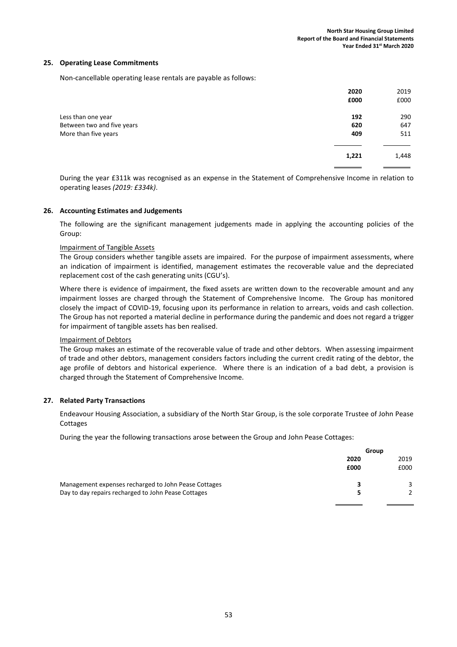#### 25. Operating Lease Commitments

Non-cancellable operating lease rentals are payable as follows:

|                            | 2020  | 2019  |
|----------------------------|-------|-------|
|                            | £000  | £000  |
| Less than one year         | 192   | 290   |
| Between two and five years | 620   | 647   |
| More than five years       | 409   | 511   |
|                            | 1,221 | 1,448 |
|                            |       |       |

During the year £311k was recognised as an expense in the Statement of Comprehensive Income in relation to operating leases (2019: £334k).

#### 26. Accounting Estimates and Judgements

The following are the significant management judgements made in applying the accounting policies of the Group:

#### Impairment of Tangible Assets

The Group considers whether tangible assets are impaired. For the purpose of impairment assessments, where an indication of impairment is identified, management estimates the recoverable value and the depreciated replacement cost of the cash generating units (CGU's).

Where there is evidence of impairment, the fixed assets are written down to the recoverable amount and any impairment losses are charged through the Statement of Comprehensive Income. The Group has monitored closely the impact of COVID-19, focusing upon its performance in relation to arrears, voids and cash collection. The Group has not reported a material decline in performance during the pandemic and does not regard a trigger for impairment of tangible assets has ben realised.

#### Impairment of Debtors

The Group makes an estimate of the recoverable value of trade and other debtors. When assessing impairment of trade and other debtors, management considers factors including the current credit rating of the debtor, the age profile of debtors and historical experience. Where there is an indication of a bad debt, a provision is charged through the Statement of Comprehensive Income.

#### 27. Related Party Transactions

Endeavour Housing Association, a subsidiary of the North Star Group, is the sole corporate Trustee of John Pease Cottages

During the year the following transactions arose between the Group and John Pease Cottages:

|                                                      | Group |      |
|------------------------------------------------------|-------|------|
|                                                      | 2020  | 2019 |
|                                                      | £000  | £000 |
| Management expenses recharged to John Pease Cottages |       |      |
| Day to day repairs recharged to John Pease Cottages  |       |      |
|                                                      |       |      |